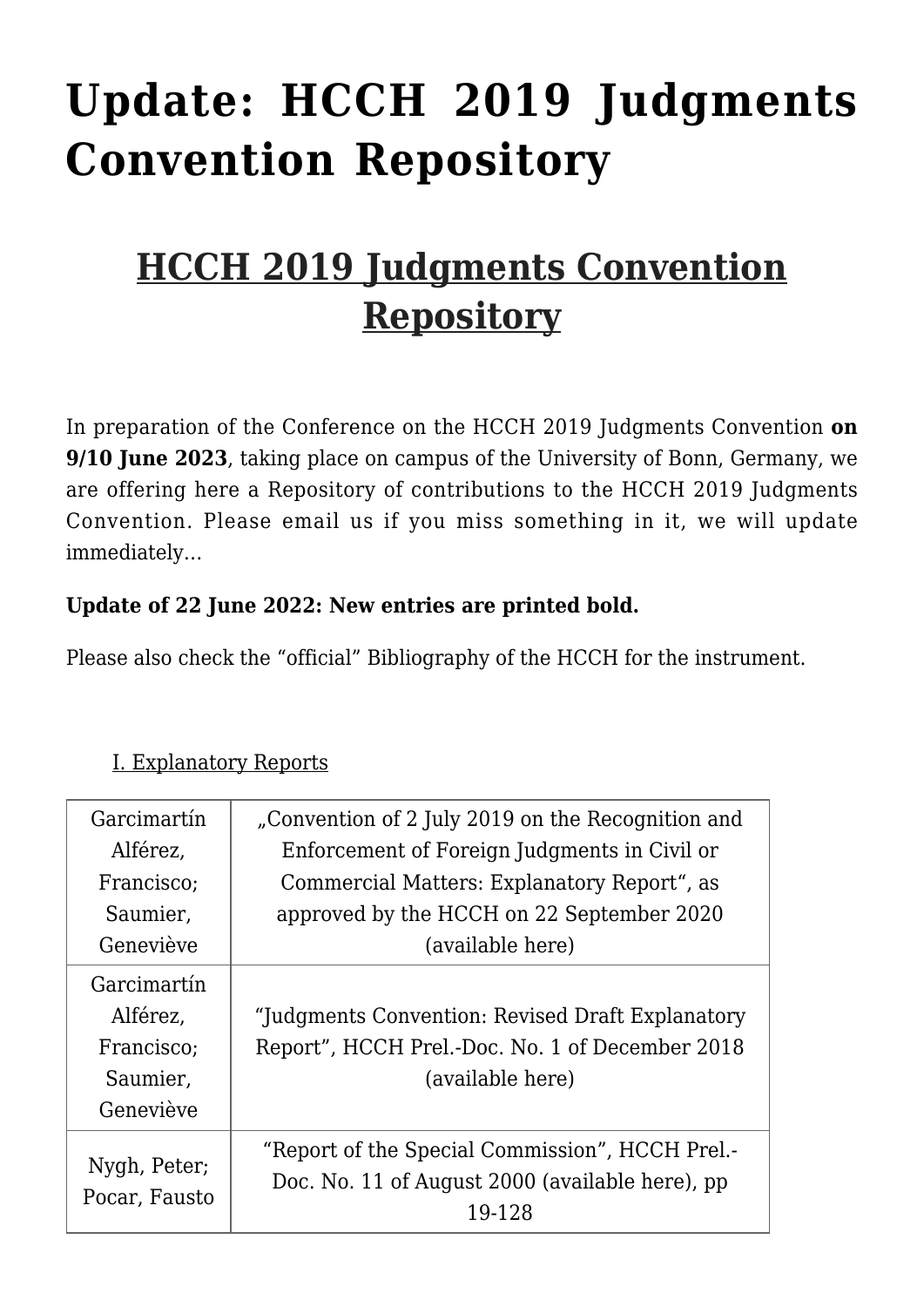# **[Update: HCCH 2019 Judgments](https://conflictoflaws.net/2022/update-hcch-2019-judgments-convention-repository-10/) [Convention Repository](https://conflictoflaws.net/2022/update-hcch-2019-judgments-convention-repository-10/)**

# **HCCH 2019 Judgments Convention Repository**

In preparation of the [Conference on the HCCH 2019 Judgments Convention](https://www.jura.uni-bonn.de/professur-prof-dr-weller/the-hcch-2019-judgments-convention-cornerstones-prospects-outlook-conference-on-9-and-10-september-2022) **on 9/10 June 2023**, taking place on campus of the University of Bonn, Germany, we are offering here a Repository of contributions to the HCCH 2019 Judgments Convention. Please [email us](mailto:weller@jura.uni-bonn.de) if you miss something in it, we will update immediately…

#### **Update of 22 June 2022: New entries are printed bold.**

Please also check the "official" [Bibliography](https://www.hcch.net/en/instruments/conventions/publications1/?dtid=1&cid=137) of the HCCH for the instrument.

| Garcimartín                   | "Convention of 2 July 2019 on the Recognition and |
|-------------------------------|---------------------------------------------------|
| Alférez,                      | Enforcement of Foreign Judgments in Civil or      |
| Francisco;                    | Commercial Matters: Explanatory Report", as       |
| Saumier,                      | approved by the HCCH on 22 September 2020         |
| Geneviève                     | (available here)                                  |
| Garcimartín                   |                                                   |
| Alférez,                      | "Judgments Convention: Revised Draft Explanatory  |
| Francisco;                    | Report", HCCH Prel.-Doc. No. 1 of December 2018   |
| Saumier,                      | (available here)                                  |
| Geneviève                     |                                                   |
|                               | "Report of the Special Commission", HCCH Prel.-   |
| Nygh, Peter;<br>Pocar, Fausto | Doc. No. 11 of August 2000 (available here), pp   |
|                               | 19-128                                            |

#### I. Explanatory Reports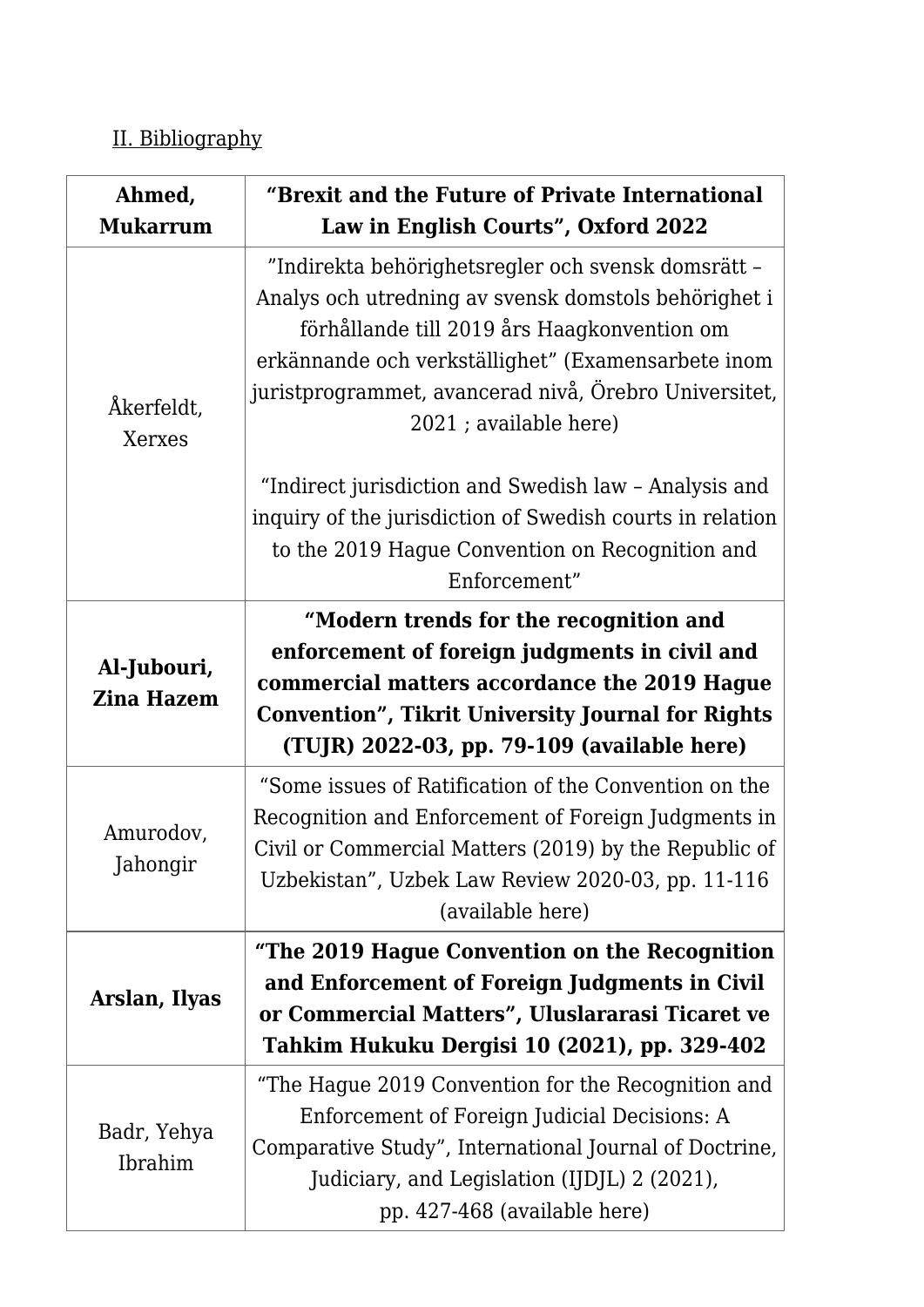## II. Bibliography

| Ahmed,<br><b>Mukarrum</b>        | "Brexit and the Future of Private International<br>Law in English Courts", Oxford 2022                                                                                                                                                                                                             |
|----------------------------------|----------------------------------------------------------------------------------------------------------------------------------------------------------------------------------------------------------------------------------------------------------------------------------------------------|
| Åkerfeldt,<br>Xerxes             | "Indirekta behörighetsregler och svensk domsrätt -<br>Analys och utredning av svensk domstols behörighet i<br>förhållande till 2019 års Haagkonvention om<br>erkännande och verkställighet" (Examensarbete inom<br>juristprogrammet, avancerad nivå, Örebro Universitet,<br>2021 ; available here) |
|                                  | "Indirect jurisdiction and Swedish law - Analysis and<br>inquiry of the jurisdiction of Swedish courts in relation<br>to the 2019 Hague Convention on Recognition and<br>Enforcement"                                                                                                              |
| Al-Jubouri,<br><b>Zina Hazem</b> | "Modern trends for the recognition and<br>enforcement of foreign judgments in civil and<br>commercial matters accordance the 2019 Hague<br><b>Convention", Tikrit University Journal for Rights</b><br>(TUJR) 2022-03, pp. 79-109 (available here)                                                 |
| Amurodov,<br>Jahongir            | "Some issues of Ratification of the Convention on the<br>Recognition and Enforcement of Foreign Judgments in<br>Civil or Commercial Matters (2019) by the Republic of<br>Uzbekistan", Uzbek Law Review 2020-03, pp. 11-116<br>(available here)                                                     |
| Arslan, Ilyas                    | "The 2019 Hague Convention on the Recognition<br>and Enforcement of Foreign Judgments in Civil<br>or Commercial Matters", Uluslararasi Ticaret ve<br>Tahkim Hukuku Dergisi 10 (2021), pp. 329-402                                                                                                  |
| Badr, Yehya<br>Ibrahim           | "The Hague 2019 Convention for the Recognition and<br>Enforcement of Foreign Judicial Decisions: A<br>Comparative Study", International Journal of Doctrine,<br>Judiciary, and Legislation (IJDJL) 2 (2021),<br>pp. 427-468 (available here)                                                       |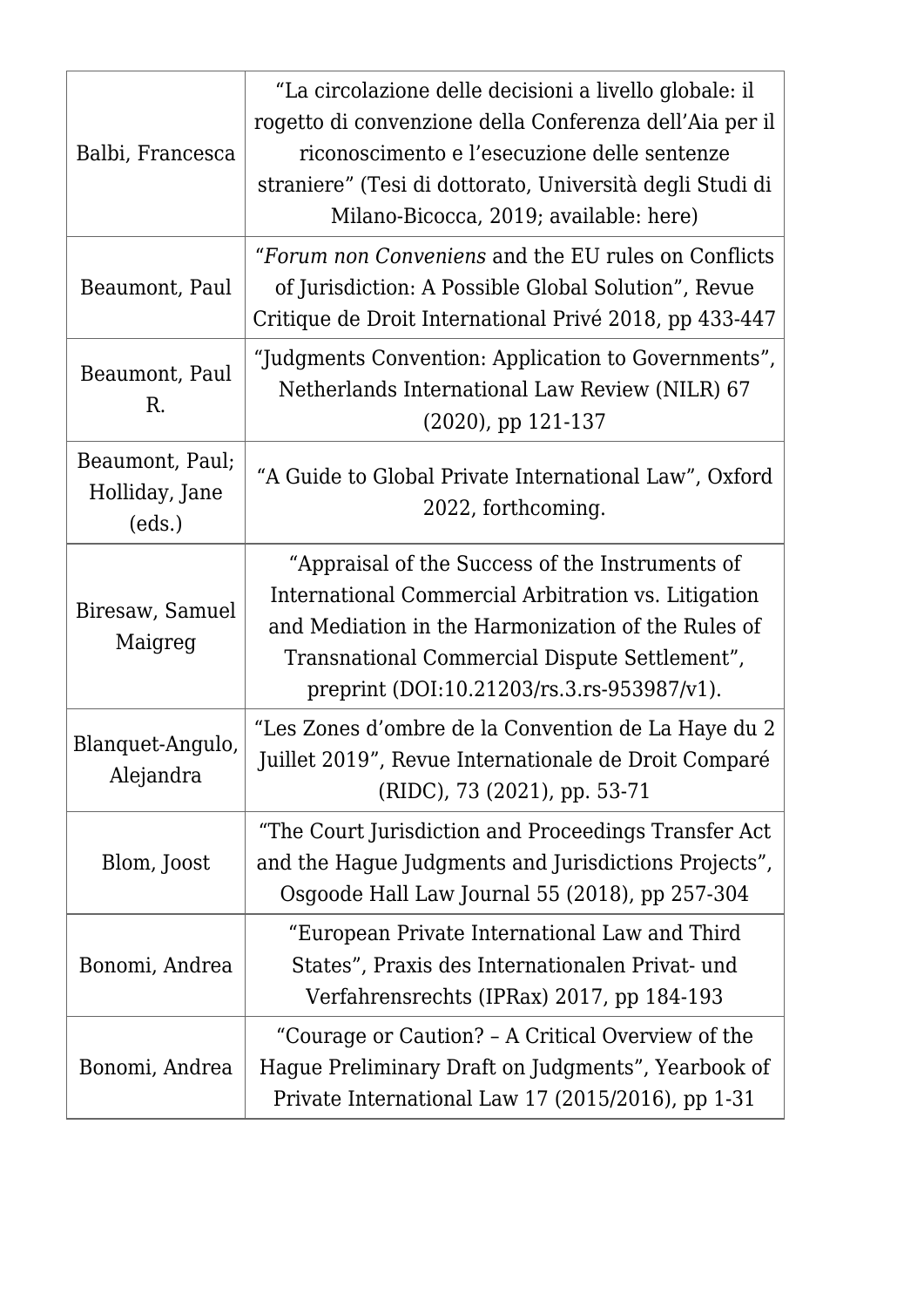| Balbi, Francesca                            | "La circolazione delle decisioni a livello globale: il<br>rogetto di convenzione della Conferenza dell'Aia per il<br>riconoscimento e l'esecuzione delle sentenze<br>straniere" (Tesi di dottorato, Università degli Studi di<br>Milano-Bicocca, 2019; available: here) |
|---------------------------------------------|-------------------------------------------------------------------------------------------------------------------------------------------------------------------------------------------------------------------------------------------------------------------------|
| Beaumont, Paul                              | "Forum non Conveniens and the EU rules on Conflicts<br>of Jurisdiction: A Possible Global Solution", Revue<br>Critique de Droit International Privé 2018, pp 433-447                                                                                                    |
| Beaumont, Paul<br>R.                        | "Judgments Convention: Application to Governments",<br>Netherlands International Law Review (NILR) 67<br>$(2020)$ , pp 121-137                                                                                                                                          |
| Beaumont, Paul;<br>Holliday, Jane<br>(eds.) | "A Guide to Global Private International Law", Oxford<br>2022, forthcoming.                                                                                                                                                                                             |
| Biresaw, Samuel<br>Maigreg                  | "Appraisal of the Success of the Instruments of<br>International Commercial Arbitration vs. Litigation<br>and Mediation in the Harmonization of the Rules of<br>Transnational Commercial Dispute Settlement",<br>preprint (DOI:10.21203/rs.3.rs-953987/v1).             |
| Blanquet-Angulo,<br>Alejandra               | "Les Zones d'ombre de la Convention de La Haye du 2<br>Juillet 2019", Revue Internationale de Droit Comparé<br>(RIDC), 73 (2021), pp. 53-71                                                                                                                             |
| Blom, Joost                                 | "The Court Jurisdiction and Proceedings Transfer Act<br>and the Hague Judgments and Jurisdictions Projects",<br>Osgoode Hall Law Journal 55 (2018), pp 257-304                                                                                                          |
| Bonomi, Andrea                              | "European Private International Law and Third<br>States", Praxis des Internationalen Privat- und<br>Verfahrensrechts (IPRax) 2017, pp 184-193                                                                                                                           |
| Bonomi, Andrea                              | "Courage or Caution? - A Critical Overview of the<br>Hague Preliminary Draft on Judgments", Yearbook of<br>Private International Law 17 (2015/2016), pp 1-31                                                                                                            |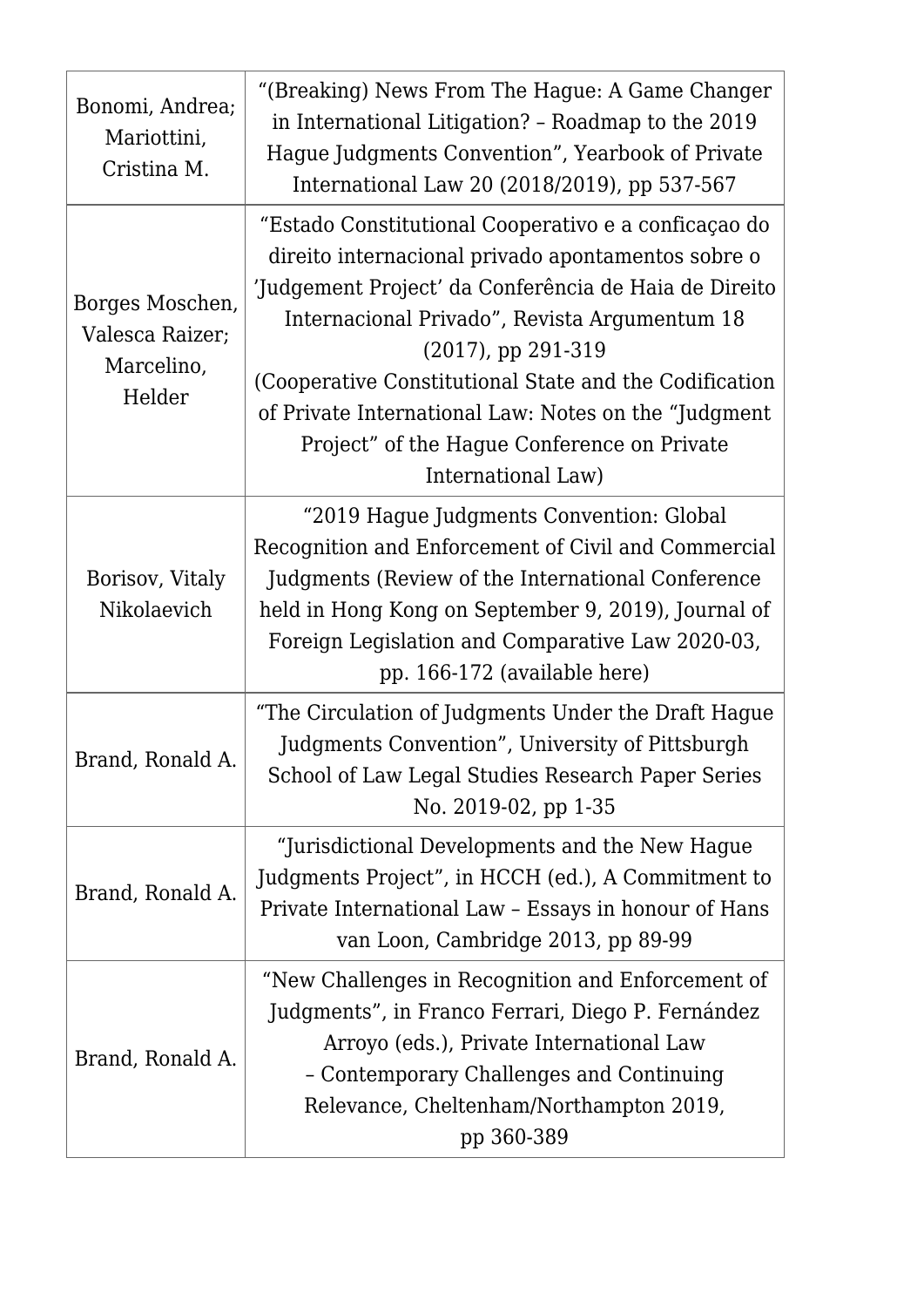| Bonomi, Andrea;<br>Mariottini,<br>Cristina M.              | "(Breaking) News From The Hague: A Game Changer<br>in International Litigation? - Roadmap to the 2019<br>Hague Judgments Convention", Yearbook of Private<br>International Law 20 (2018/2019), pp 537-567                                                                                                                                                                                                                            |
|------------------------------------------------------------|--------------------------------------------------------------------------------------------------------------------------------------------------------------------------------------------------------------------------------------------------------------------------------------------------------------------------------------------------------------------------------------------------------------------------------------|
| Borges Moschen,<br>Valesca Raizer;<br>Marcelino,<br>Helder | "Estado Constitutional Cooperativo e a conficaçao do<br>direito internacional privado apontamentos sobre o<br>Judgement Project' da Conferência de Haia de Direito<br>Internacional Privado", Revista Argumentum 18<br>$(2017)$ , pp 291-319<br>(Cooperative Constitutional State and the Codification<br>of Private International Law: Notes on the "Judgment"<br>Project" of the Hague Conference on Private<br>International Law) |
| Borisov, Vitaly<br>Nikolaevich                             | "2019 Hague Judgments Convention: Global<br>Recognition and Enforcement of Civil and Commercial<br>Judgments (Review of the International Conference<br>held in Hong Kong on September 9, 2019), Journal of<br>Foreign Legislation and Comparative Law 2020-03,<br>pp. 166-172 (available here)                                                                                                                                      |
| Brand, Ronald A                                            | "The Circulation of Judgments Under the Draft Haque<br>Judgments Convention", University of Pittsburgh<br>School of Law Legal Studies Research Paper Series<br>No. 2019-02, pp 1-35                                                                                                                                                                                                                                                  |
| Brand, Ronald A.                                           | "Jurisdictional Developments and the New Hague<br>Judgments Project", in HCCH (ed.), A Commitment to<br>Private International Law - Essays in honour of Hans<br>van Loon, Cambridge 2013, pp 89-99                                                                                                                                                                                                                                   |
| Brand, Ronald A.                                           | "New Challenges in Recognition and Enforcement of<br>Judgments", in Franco Ferrari, Diego P. Fernández<br>Arroyo (eds.), Private International Law<br>- Contemporary Challenges and Continuing<br>Relevance, Cheltenham/Northampton 2019,<br>pp 360-389                                                                                                                                                                              |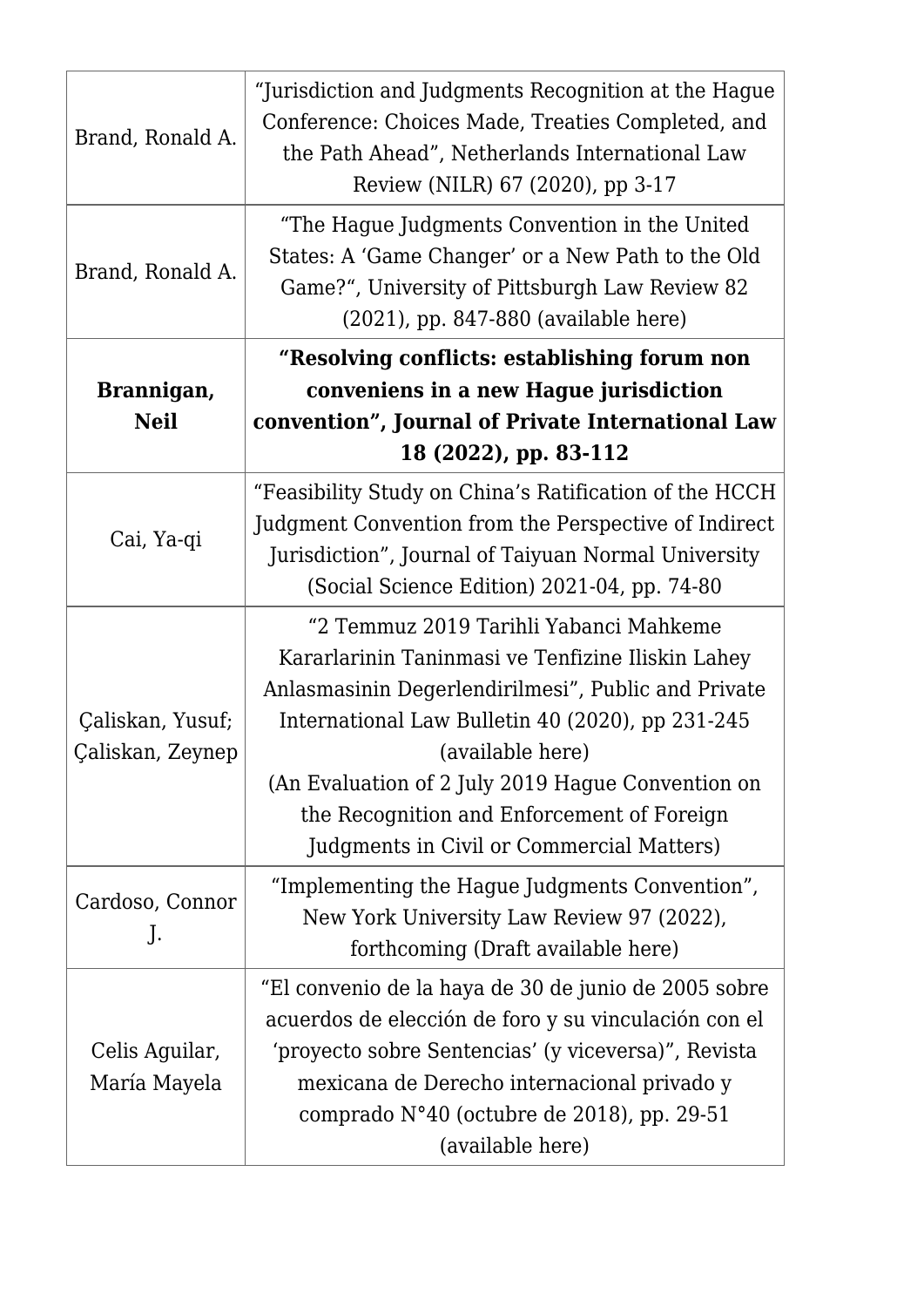| Brand, Ronald A.                     | "Jurisdiction and Judgments Recognition at the Hague<br>Conference: Choices Made, Treaties Completed, and<br>the Path Ahead", Netherlands International Law<br>Review (NILR) 67 (2020), pp 3-17                                                                                                                                                                            |
|--------------------------------------|----------------------------------------------------------------------------------------------------------------------------------------------------------------------------------------------------------------------------------------------------------------------------------------------------------------------------------------------------------------------------|
| Brand, Ronald A.                     | "The Hague Judgments Convention in the United<br>States: A 'Game Changer' or a New Path to the Old<br>Game?", University of Pittsburgh Law Review 82<br>(2021), pp. 847-880 (available here)                                                                                                                                                                               |
| Brannigan,<br><b>Neil</b>            | "Resolving conflicts: establishing forum non<br>conveniens in a new Hague jurisdiction<br>convention", Journal of Private International Law<br>18 (2022), pp. 83-112                                                                                                                                                                                                       |
|                                      | "Feasibility Study on China's Ratification of the HCCH                                                                                                                                                                                                                                                                                                                     |
| Cai, Ya-qi                           | Judgment Convention from the Perspective of Indirect<br>Jurisdiction", Journal of Taiyuan Normal University<br>(Social Science Edition) 2021-04, pp. 74-80                                                                                                                                                                                                                 |
| Çaliskan, Yusuf;<br>Çaliskan, Zeynep | "2 Temmuz 2019 Tarihli Yabanci Mahkeme<br>Kararlarinin Taninmasi ve Tenfizine Iliskin Lahey<br>Anlasmasinin Degerlendirilmesi", Public and Private<br>International Law Bulletin 40 (2020), pp 231-245<br>(available here)<br>(An Evaluation of 2 July 2019 Hague Convention on<br>the Recognition and Enforcement of Foreign<br>Judgments in Civil or Commercial Matters) |
| Cardoso, Connor<br>J.                | "Implementing the Hague Judgments Convention",<br>New York University Law Review 97 (2022),<br>forthcoming (Draft available here)                                                                                                                                                                                                                                          |
| Celis Aguilar,<br>María Mayela       | "El convenio de la haya de 30 de junio de 2005 sobre<br>acuerdos de elección de foro y su vinculación con el<br>'proyecto sobre Sentencias' (y viceversa)", Revista<br>mexicana de Derecho internacional privado y<br>comprado N°40 (octubre de 2018), pp. 29-51<br>(available here)                                                                                       |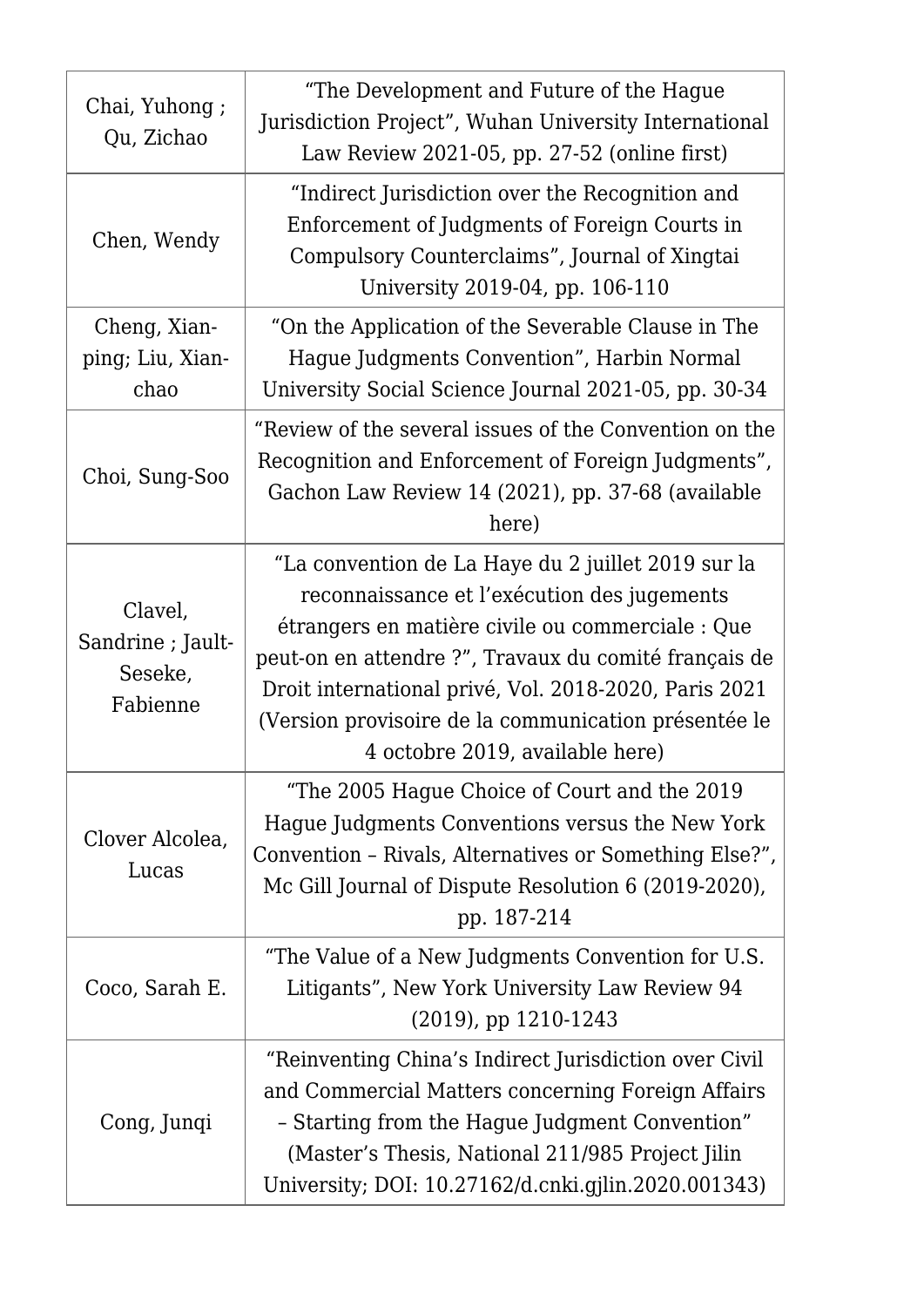| Chai, Yuhong;<br>Qu, Zichao                         | "The Development and Future of the Hague<br>Jurisdiction Project", Wuhan University International<br>Law Review 2021-05, pp. 27-52 (online first)                                                                                                                                                                                                                  |
|-----------------------------------------------------|--------------------------------------------------------------------------------------------------------------------------------------------------------------------------------------------------------------------------------------------------------------------------------------------------------------------------------------------------------------------|
| Chen, Wendy                                         | "Indirect Jurisdiction over the Recognition and<br>Enforcement of Judgments of Foreign Courts in<br>Compulsory Counterclaims", Journal of Xingtai<br>University 2019-04, pp. 106-110                                                                                                                                                                               |
| Cheng, Xian-<br>ping; Liu, Xian-<br>chao            | "On the Application of the Severable Clause in The<br>Hague Judgments Convention", Harbin Normal<br>University Social Science Journal 2021-05, pp. 30-34                                                                                                                                                                                                           |
| Choi, Sung-Soo                                      | "Review of the several issues of the Convention on the<br>Recognition and Enforcement of Foreign Judgments",<br>Gachon Law Review 14 (2021), pp. 37-68 (available<br>here)                                                                                                                                                                                         |
| Clavel,<br>Sandrine ; Jault-<br>Seseke,<br>Fabienne | "La convention de La Haye du 2 juillet 2019 sur la<br>reconnaissance et l'exécution des jugements<br>étrangers en matière civile ou commerciale : Que<br>peut-on en attendre ?", Travaux du comité français de<br>Droit international privé, Vol. 2018-2020, Paris 2021<br>(Version provisoire de la communication présentée le<br>4 octobre 2019, available here) |
| Clover Alcolea,<br>Lucas                            | "The 2005 Hague Choice of Court and the 2019<br>Hague Judgments Conventions versus the New York<br>Convention - Rivals, Alternatives or Something Else?",<br>Mc Gill Journal of Dispute Resolution 6 (2019-2020),<br>pp. 187-214                                                                                                                                   |
| Coco, Sarah E.                                      | "The Value of a New Judgments Convention for U.S."<br>Litigants", New York University Law Review 94<br>$(2019)$ , pp 1210-1243                                                                                                                                                                                                                                     |
| Cong, Junqi                                         | "Reinventing China's Indirect Jurisdiction over Civil<br>and Commercial Matters concerning Foreign Affairs<br>- Starting from the Hague Judgment Convention"<br>(Master's Thesis, National 211/985 Project Jilin<br>University; DOI: 10.27162/d.cnki.gjlin.2020.001343)                                                                                            |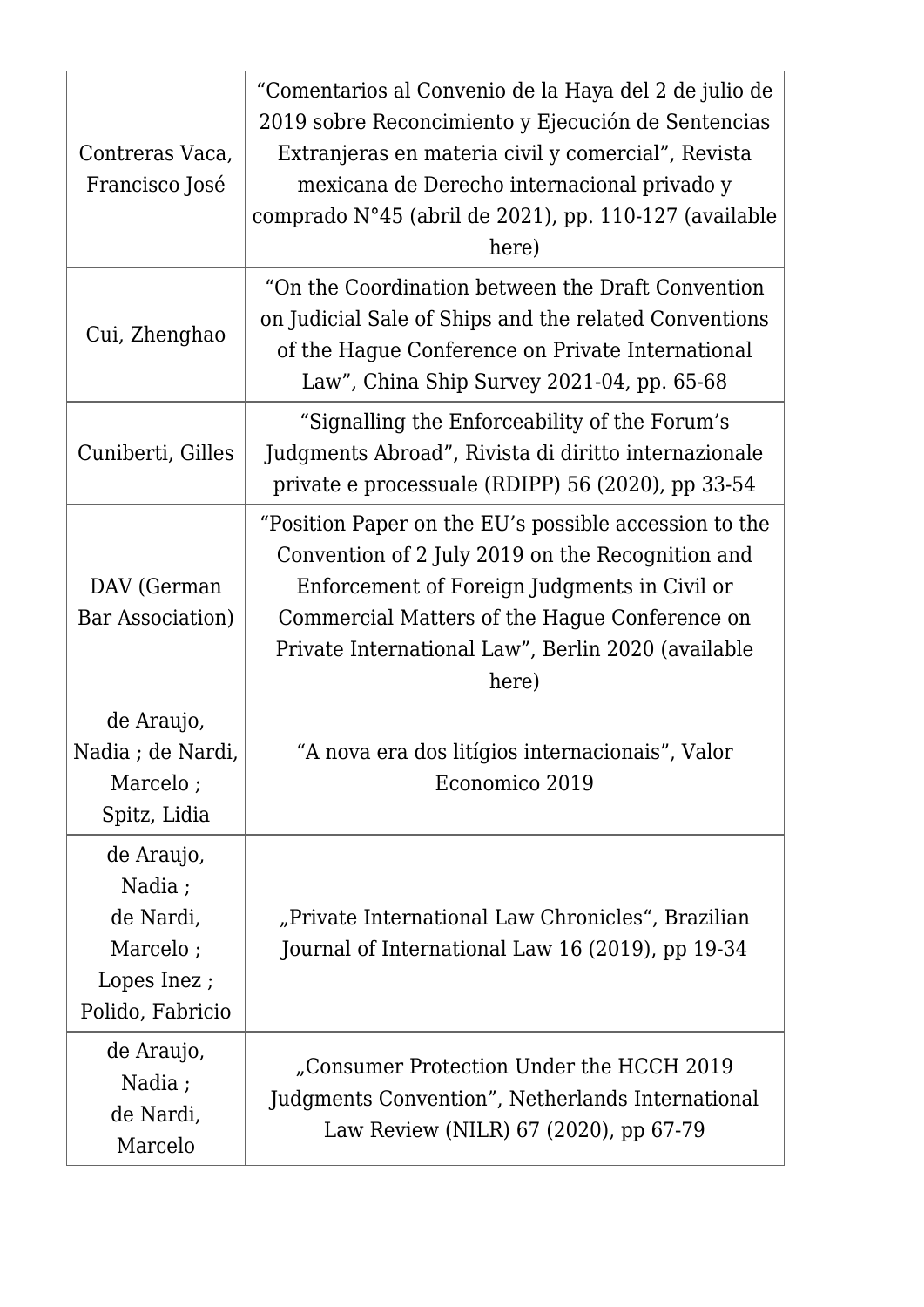| Contreras Vaca,<br>Francisco José                                                | "Comentarios al Convenio de la Haya del 2 de julio de<br>2019 sobre Reconcimiento y Ejecución de Sentencias<br>Extranjeras en materia civil y comercial", Revista<br>mexicana de Derecho internacional privado y<br>comprado N°45 (abril de 2021), pp. 110-127 (available<br>here) |
|----------------------------------------------------------------------------------|------------------------------------------------------------------------------------------------------------------------------------------------------------------------------------------------------------------------------------------------------------------------------------|
| Cui, Zhenghao                                                                    | "On the Coordination between the Draft Convention"<br>on Judicial Sale of Ships and the related Conventions<br>of the Hague Conference on Private International<br>Law", China Ship Survey 2021-04, pp. 65-68                                                                      |
| Cuniberti, Gilles                                                                | "Signalling the Enforceability of the Forum's<br>Judgments Abroad", Rivista di diritto internazionale<br>private e processuale (RDIPP) 56 (2020), pp 33-54                                                                                                                         |
| DAV (German<br>Bar Association)                                                  | "Position Paper on the EU's possible accession to the<br>Convention of 2 July 2019 on the Recognition and<br>Enforcement of Foreign Judgments in Civil or<br>Commercial Matters of the Hague Conference on<br>Private International Law", Berlin 2020 (available<br>here)          |
| de Araujo,<br>Nadia; de Nardi,<br>Marcelo;<br>Spitz, Lidia                       | "A nova era dos litígios internacionais", Valor<br>Economico 2019                                                                                                                                                                                                                  |
| de Araujo,<br>Nadia;<br>de Nardi,<br>Marcelo;<br>Lopes Inez;<br>Polido, Fabricio | "Private International Law Chronicles", Brazilian<br>Journal of International Law 16 (2019), pp 19-34                                                                                                                                                                              |
| de Araujo,<br>Nadia ;<br>de Nardi,<br>Marcelo                                    | Consumer Protection Under the HCCH 2019<br>Judgments Convention", Netherlands International<br>Law Review (NILR) 67 (2020), pp 67-79                                                                                                                                               |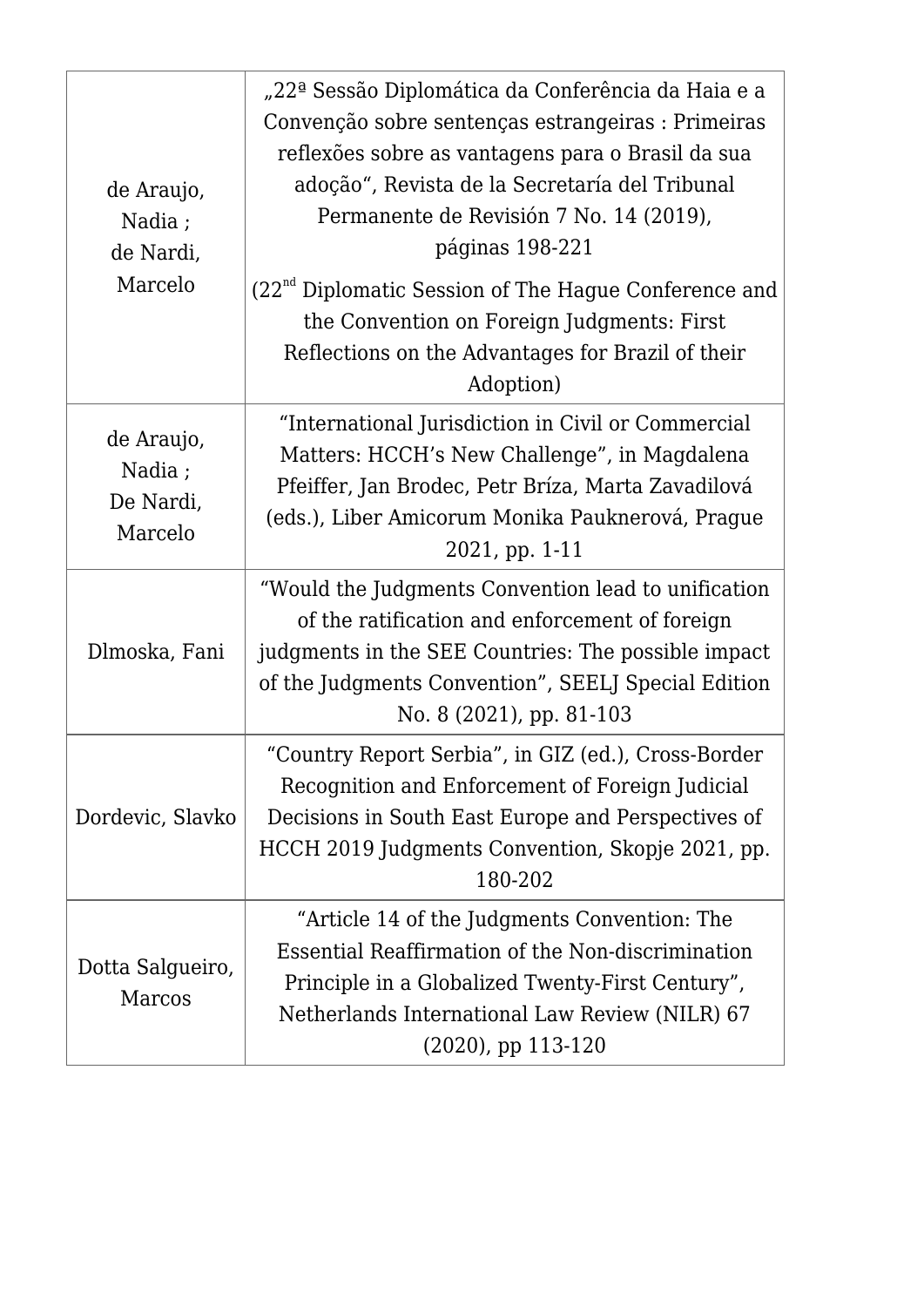| de Araujo,<br>Nadia;<br>de Nardi,<br>Marcelo  | "22ª Sessão Diplomática da Conferência da Haia e a<br>Convenção sobre sentenças estrangeiras : Primeiras<br>reflexões sobre as vantagens para o Brasil da sua<br>adoção", Revista de la Secretaría del Tribunal<br>Permanente de Revisión 7 No. 14 (2019),<br>páginas 198-221 |
|-----------------------------------------------|-------------------------------------------------------------------------------------------------------------------------------------------------------------------------------------------------------------------------------------------------------------------------------|
|                                               | $(22nd$ Diplomatic Session of The Hague Conference and<br>the Convention on Foreign Judgments: First<br>Reflections on the Advantages for Brazil of their<br>Adoption)                                                                                                        |
| de Araujo,<br>Nadia ;<br>De Nardi,<br>Marcelo | "International Jurisdiction in Civil or Commercial<br>Matters: HCCH's New Challenge", in Magdalena<br>Pfeiffer, Jan Brodec, Petr Bríza, Marta Zavadilová<br>(eds.), Liber Amicorum Monika Pauknerová, Prague<br>2021, pp. 1-11                                                |
| Dlmoska, Fani                                 | "Would the Judgments Convention lead to unification<br>of the ratification and enforcement of foreign<br>judgments in the SEE Countries: The possible impact<br>of the Judgments Convention", SEELJ Special Edition<br>No. 8 (2021), pp. 81-103                               |
| Dordevic, Slavko                              | "Country Report Serbia", in GIZ (ed.), Cross-Border<br>Recognition and Enforcement of Foreign Judicial<br>Decisions in South East Europe and Perspectives of<br>HCCH 2019 Judgments Convention, Skopje 2021, pp.<br>180-202                                                   |
| Dotta Salgueiro,<br>Marcos                    | "Article 14 of the Judgments Convention: The<br>Essential Reaffirmation of the Non-discrimination<br>Principle in a Globalized Twenty-First Century",<br>Netherlands International Law Review (NILR) 67<br>$(2020)$ , pp 113-120                                              |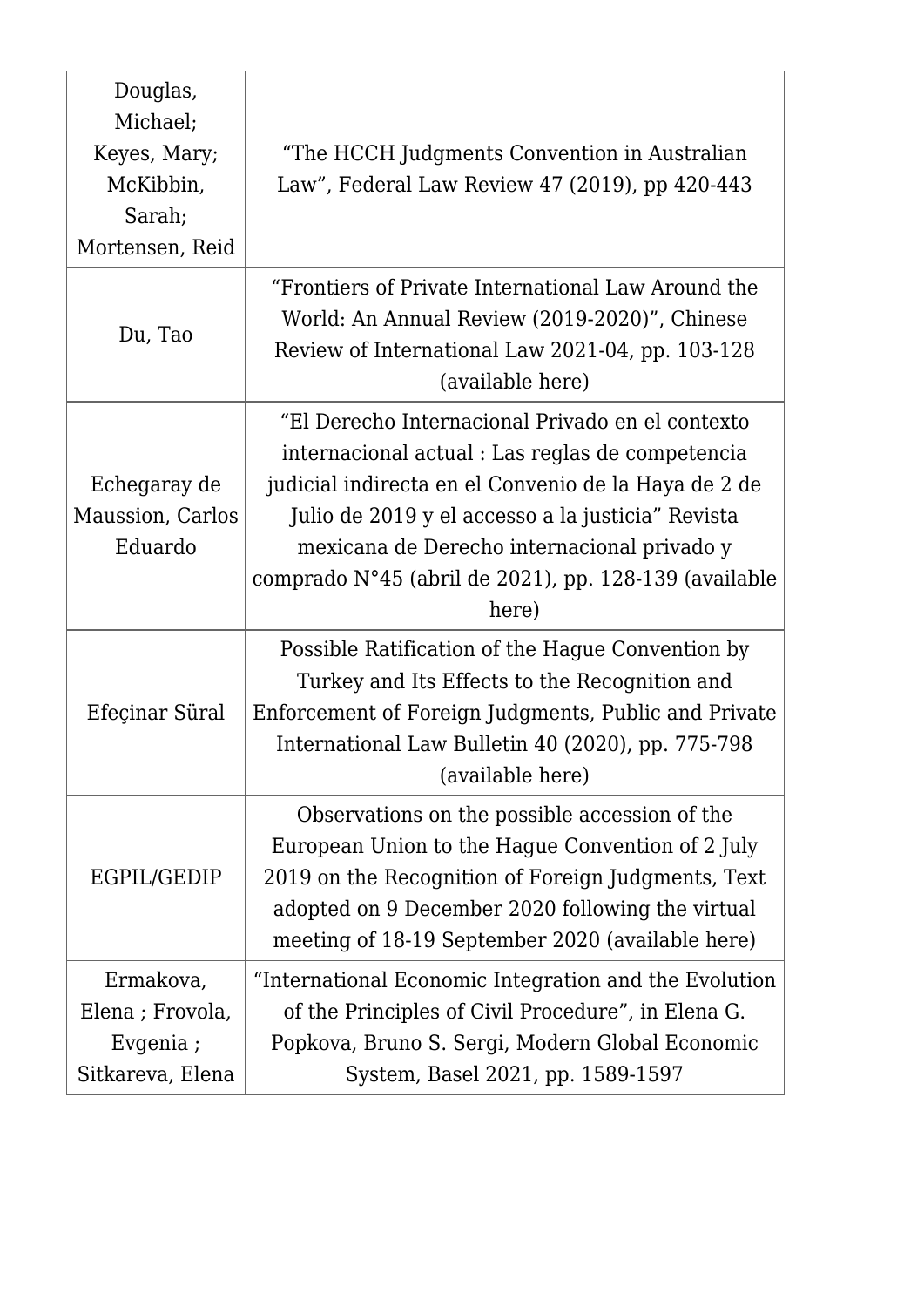| Douglas,<br>Michael;<br>Keyes, Mary;<br>McKibbin,<br>Sarah;<br>Mortensen, Reid | "The HCCH Judgments Convention in Australian<br>Law", Federal Law Review 47 (2019), pp 420-443                                                                                                                                                                                                                                     |
|--------------------------------------------------------------------------------|------------------------------------------------------------------------------------------------------------------------------------------------------------------------------------------------------------------------------------------------------------------------------------------------------------------------------------|
| Du, Tao                                                                        | "Frontiers of Private International Law Around the<br>World: An Annual Review (2019-2020)", Chinese<br>Review of International Law 2021-04, pp. 103-128<br>(available here)                                                                                                                                                        |
| Echegaray de<br>Maussion, Carlos<br>Eduardo                                    | "El Derecho Internacional Privado en el contexto<br>internacional actual : Las reglas de competencia<br>judicial indirecta en el Convenio de la Haya de 2 de<br>Julio de 2019 y el accesso a la justicia" Revista<br>mexicana de Derecho internacional privado y<br>comprado N°45 (abril de 2021), pp. 128-139 (available<br>here) |
| Efeçinar Süral                                                                 | Possible Ratification of the Hague Convention by<br>Turkey and Its Effects to the Recognition and<br>Enforcement of Foreign Judgments, Public and Private<br>International Law Bulletin 40 (2020), pp. 775-798<br>(available here)                                                                                                 |
| EGPIL/GEDIP                                                                    | Observations on the possible accession of the<br>European Union to the Hague Convention of 2 July<br>2019 on the Recognition of Foreign Judgments, Text<br>adopted on 9 December 2020 following the virtual<br>meeting of 18-19 September 2020 (available here)                                                                    |
| Ermakova,<br>Elena; Frovola,<br>Evgenia;<br>Sitkareva, Elena                   | "International Economic Integration and the Evolution<br>of the Principles of Civil Procedure", in Elena G.<br>Popkova, Bruno S. Sergi, Modern Global Economic<br>System, Basel 2021, pp. 1589-1597                                                                                                                                |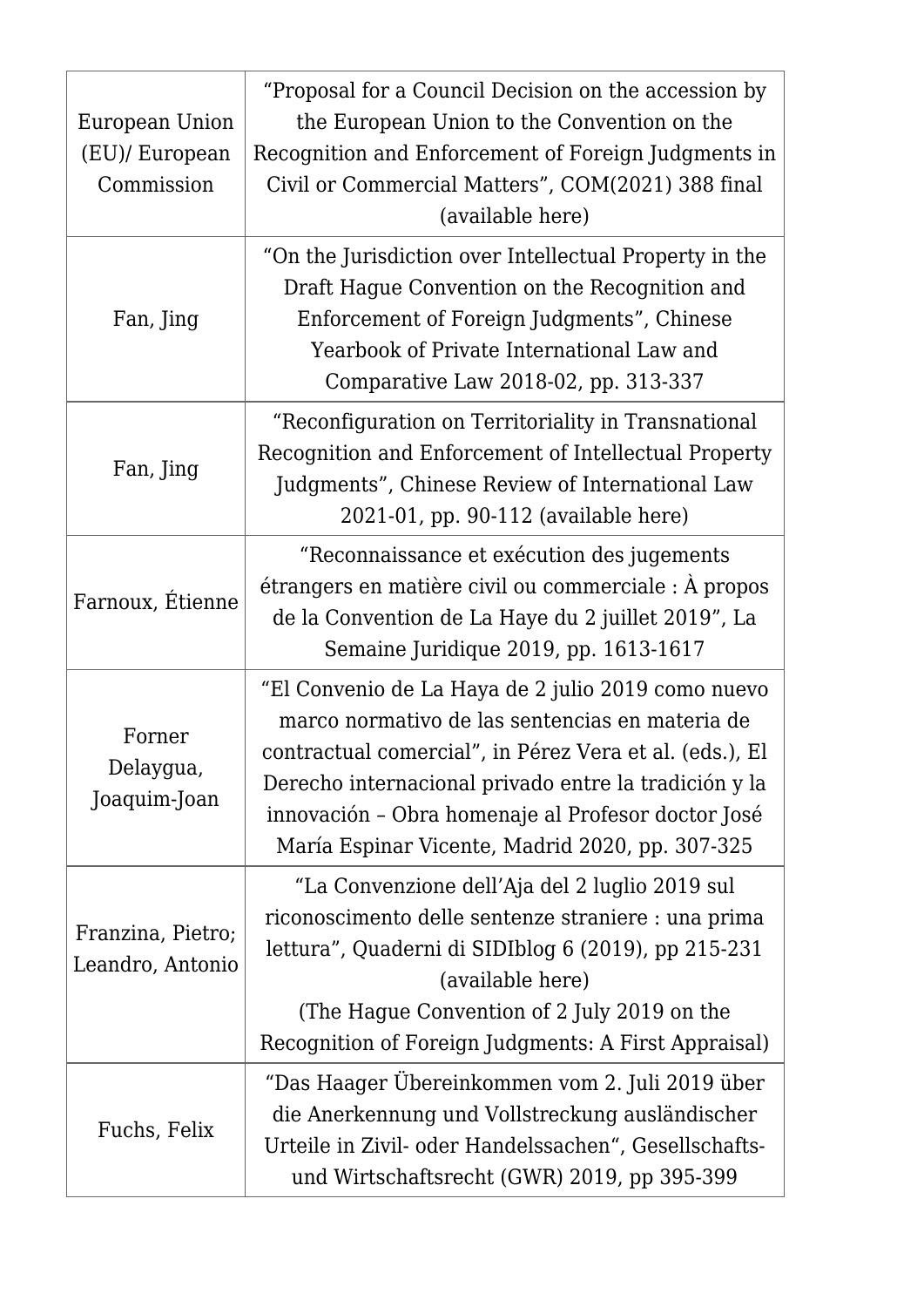| European Union<br>(EU)/ European<br>Commission | "Proposal for a Council Decision on the accession by<br>the European Union to the Convention on the<br>Recognition and Enforcement of Foreign Judgments in<br>Civil or Commercial Matters", COM(2021) 388 final<br>(available here)                                                                                                |
|------------------------------------------------|------------------------------------------------------------------------------------------------------------------------------------------------------------------------------------------------------------------------------------------------------------------------------------------------------------------------------------|
| Fan, Jing                                      | "On the Jurisdiction over Intellectual Property in the<br>Draft Hague Convention on the Recognition and<br>Enforcement of Foreign Judgments", Chinese<br>Yearbook of Private International Law and<br>Comparative Law 2018-02, pp. 313-337                                                                                         |
| Fan, Jing                                      | "Reconfiguration on Territoriality in Transnational<br>Recognition and Enforcement of Intellectual Property<br>Judgments", Chinese Review of International Law<br>2021-01, pp. 90-112 (available here)                                                                                                                             |
| Farnoux, Étienne                               | "Reconnaissance et exécution des jugements<br>étrangers en matière civil ou commerciale : À propos<br>de la Convention de La Haye du 2 juillet 2019", La<br>Semaine Juridique 2019, pp. 1613-1617                                                                                                                                  |
| Forner<br>Delaygua,<br>Joaquim-Joan            | "El Convenio de La Haya de 2 julio 2019 como nuevo<br>marco normativo de las sentencias en materia de<br>contractual comercial", in Pérez Vera et al. (eds.), El<br>Derecho internacional privado entre la tradición y la<br>innovación - Obra homenaje al Profesor doctor José<br>María Espinar Vicente, Madrid 2020, pp. 307-325 |
| Franzina, Pietro;<br>Leandro, Antonio          | "La Convenzione dell'Aja del 2 luglio 2019 sul<br>riconoscimento delle sentenze straniere : una prima<br>lettura", Quaderni di SIDIblog 6 (2019), pp 215-231<br>(available here)<br>(The Hague Convention of 2 July 2019 on the<br>Recognition of Foreign Judgments: A First Appraisal)                                            |
| Fuchs, Felix                                   | "Das Haager Übereinkommen vom 2. Juli 2019 über<br>die Anerkennung und Vollstreckung ausländischer<br>Urteile in Zivil- oder Handelssachen", Gesellschafts-<br>und Wirtschaftsrecht (GWR) 2019, pp 395-399                                                                                                                         |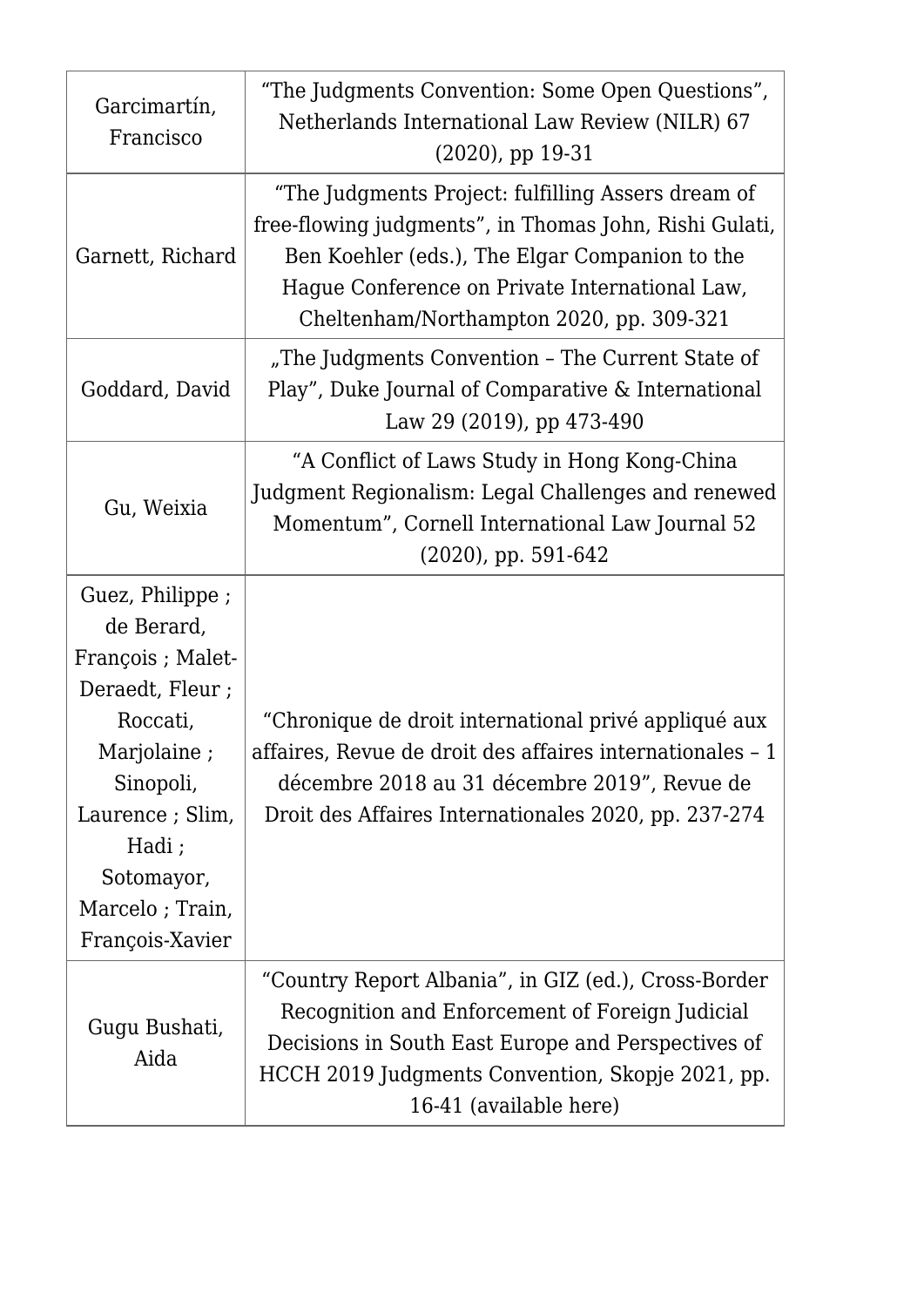| Garcimartín,<br>Francisco                                                                                                                                                                      | "The Judgments Convention: Some Open Questions",<br>Netherlands International Law Review (NILR) 67<br>$(2020)$ , pp 19-31                                                                                                                                    |
|------------------------------------------------------------------------------------------------------------------------------------------------------------------------------------------------|--------------------------------------------------------------------------------------------------------------------------------------------------------------------------------------------------------------------------------------------------------------|
| Garnett, Richard                                                                                                                                                                               | "The Judgments Project: fulfilling Assers dream of<br>free-flowing judgments", in Thomas John, Rishi Gulati,<br>Ben Koehler (eds.), The Elgar Companion to the<br>Hague Conference on Private International Law,<br>Cheltenham/Northampton 2020, pp. 309-321 |
| Goddard, David                                                                                                                                                                                 | "The Judgments Convention - The Current State of<br>Play", Duke Journal of Comparative & International<br>Law 29 (2019), pp 473-490                                                                                                                          |
| Gu, Weixia                                                                                                                                                                                     | "A Conflict of Laws Study in Hong Kong-China<br>Judgment Regionalism: Legal Challenges and renewed<br>Momentum", Cornell International Law Journal 52<br>$(2020)$ , pp. 591-642                                                                              |
| Guez, Philippe;<br>de Berard,<br>François ; Malet-<br>Deraedt, Fleur;<br>Roccati,<br>Marjolaine;<br>Sinopoli,<br>Laurence ; Slim,<br>Hadi;<br>Sotomayor,<br>Marcelo; Train,<br>François-Xavier | "Chronique de droit international privé appliqué aux<br>affaires, Revue de droit des affaires internationales - 1<br>décembre 2018 au 31 décembre 2019", Revue de<br>Droit des Affaires Internationales 2020, pp. 237-274                                    |
| Gugu Bushati,<br>Aida                                                                                                                                                                          | "Country Report Albania", in GIZ (ed.), Cross-Border<br>Recognition and Enforcement of Foreign Judicial<br>Decisions in South East Europe and Perspectives of<br>HCCH 2019 Judgments Convention, Skopje 2021, pp.<br>16-41 (available here)                  |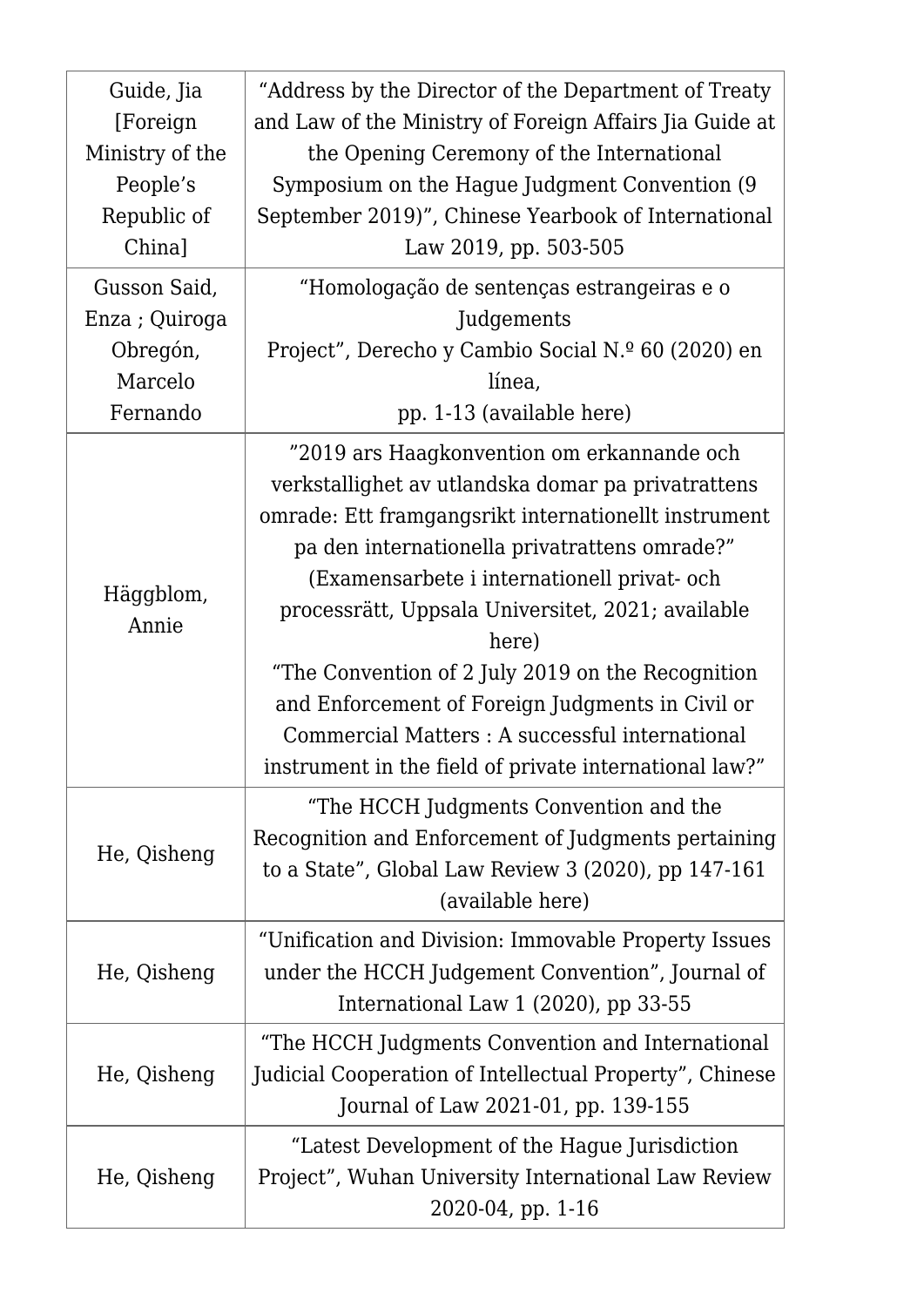| Guide, Jia<br>[Foreign]<br>Ministry of the<br>People's<br>Republic of<br>China] | "Address by the Director of the Department of Treaty<br>and Law of the Ministry of Foreign Affairs Jia Guide at<br>the Opening Ceremony of the International<br>Symposium on the Hague Judgment Convention (9)<br>September 2019)", Chinese Yearbook of International<br>Law 2019, pp. 503-505                                                                                                                                                                                                                                               |
|---------------------------------------------------------------------------------|----------------------------------------------------------------------------------------------------------------------------------------------------------------------------------------------------------------------------------------------------------------------------------------------------------------------------------------------------------------------------------------------------------------------------------------------------------------------------------------------------------------------------------------------|
| Gusson Said,<br>Enza; Quiroga<br>Obregón,<br>Marcelo<br>Fernando                | "Homologação de sentenças estrangeiras e o<br>Judgements<br>Project", Derecho y Cambio Social N.º 60 (2020) en<br>línea,<br>pp. 1-13 (available here)                                                                                                                                                                                                                                                                                                                                                                                        |
| Häggblom,<br>Annie                                                              | "2019 ars Haagkonvention om erkannande och<br>verkstallighet av utlandska domar pa privatrattens<br>omrade: Ett framgangsrikt internationellt instrument<br>pa den internationella privatrattens omrade?"<br>(Examensarbete i internationell privat- och<br>processrätt, Uppsala Universitet, 2021; available<br>here)<br>"The Convention of 2 July 2019 on the Recognition<br>and Enforcement of Foreign Judgments in Civil or<br>Commercial Matters : A successful international<br>instrument in the field of private international law?" |
| He, Qisheng                                                                     | "The HCCH Judgments Convention and the<br>Recognition and Enforcement of Judgments pertaining<br>to a State", Global Law Review $3(2020)$ , pp 147-161<br>(available here)                                                                                                                                                                                                                                                                                                                                                                   |
| He, Qisheng                                                                     | "Unification and Division: Immovable Property Issues<br>under the HCCH Judgement Convention", Journal of<br>International Law $1(2020)$ , pp 33-55                                                                                                                                                                                                                                                                                                                                                                                           |
| He, Qisheng                                                                     | "The HCCH Judgments Convention and International<br>Judicial Cooperation of Intellectual Property", Chinese<br>Journal of Law 2021-01, pp. 139-155                                                                                                                                                                                                                                                                                                                                                                                           |
| He, Qisheng                                                                     | "Latest Development of the Hague Jurisdiction"<br>Project", Wuhan University International Law Review<br>2020-04, pp. 1-16                                                                                                                                                                                                                                                                                                                                                                                                                   |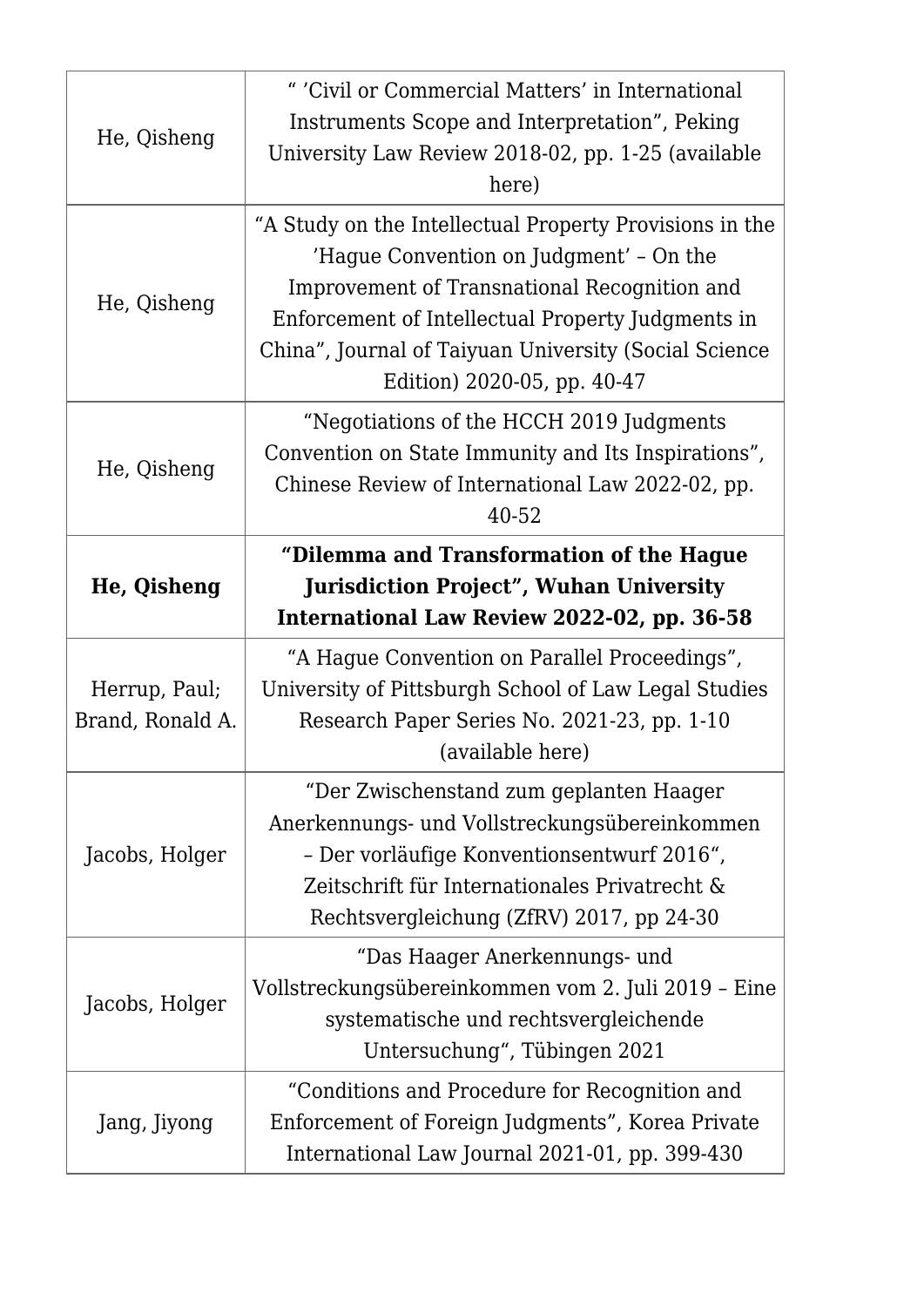| He, Qisheng                       | " 'Civil or Commercial Matters' in International<br>Instruments Scope and Interpretation", Peking<br>University Law Review 2018-02, pp. 1-25 (available<br>here)                                                                                                                                |
|-----------------------------------|-------------------------------------------------------------------------------------------------------------------------------------------------------------------------------------------------------------------------------------------------------------------------------------------------|
| He, Qisheng                       | "A Study on the Intellectual Property Provisions in the<br>'Hague Convention on Judgment' - On the<br>Improvement of Transnational Recognition and<br>Enforcement of Intellectual Property Judgments in<br>China", Journal of Taiyuan University (Social Science<br>Edition) 2020-05, pp. 40-47 |
| He, Qisheng                       | "Negotiations of the HCCH 2019 Judgments<br>Convention on State Immunity and Its Inspirations",<br>Chinese Review of International Law 2022-02, pp.<br>40-52                                                                                                                                    |
| He, Qisheng                       | "Dilemma and Transformation of the Hague<br><b>Jurisdiction Project", Wuhan University</b><br>International Law Review 2022-02, pp. 36-58                                                                                                                                                       |
| Herrup, Paul;<br>Brand, Ronald A. | "A Hague Convention on Parallel Proceedings",<br>University of Pittsburgh School of Law Legal Studies<br>Research Paper Series No. 2021-23, pp. 1-10<br>(available here)                                                                                                                        |
| Jacobs, Holger                    | "Der Zwischenstand zum geplanten Haager<br>Anerkennungs- und Vollstreckungsübereinkommen<br>- Der vorläufige Konventionsentwurf 2016",<br>Zeitschrift für Internationales Privatrecht &<br>Rechtsvergleichung (ZfRV) 2017, pp 24-30                                                             |
| Jacobs, Holger                    | "Das Haager Anerkennungs- und<br>Vollstreckungsübereinkommen vom 2. Juli 2019 - Eine<br>systematische und rechtsvergleichende<br>Untersuchung", Tübingen 2021                                                                                                                                   |
| Jang, Jiyong                      | "Conditions and Procedure for Recognition and<br>Enforcement of Foreign Judgments", Korea Private<br>International Law Journal 2021-01, pp. 399-430                                                                                                                                             |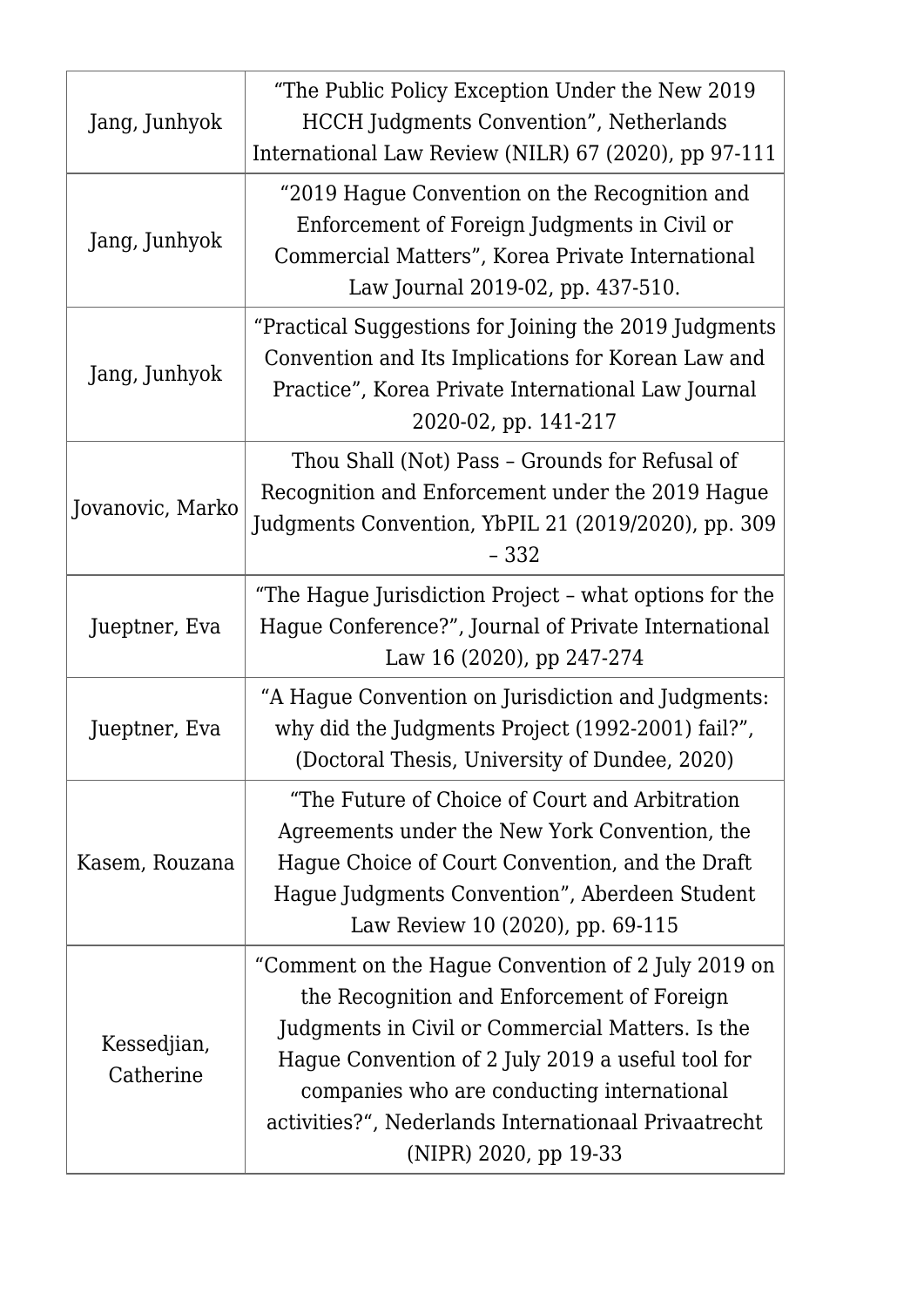| Jang, Junhyok            | "The Public Policy Exception Under the New 2019"<br><b>HCCH</b> Judgments Convention", Netherlands<br>International Law Review (NILR) 67 (2020), pp 97-111                                                                                                                                                                               |
|--------------------------|------------------------------------------------------------------------------------------------------------------------------------------------------------------------------------------------------------------------------------------------------------------------------------------------------------------------------------------|
| Jang, Junhyok            | "2019 Hague Convention on the Recognition and<br>Enforcement of Foreign Judgments in Civil or<br>Commercial Matters", Korea Private International<br>Law Journal 2019-02, pp. 437-510.                                                                                                                                                   |
| Jang, Junhyok            | "Practical Suggestions for Joining the 2019 Judgments<br>Convention and Its Implications for Korean Law and<br>Practice", Korea Private International Law Journal<br>2020-02, pp. 141-217                                                                                                                                                |
| Jovanovic, Marko         | Thou Shall (Not) Pass - Grounds for Refusal of<br>Recognition and Enforcement under the 2019 Hague<br>Judgments Convention, YbPIL 21 (2019/2020), pp. 309<br>$-332$                                                                                                                                                                      |
| Jueptner, Eva            | "The Hague Jurisdiction Project - what options for the<br>Hague Conference?", Journal of Private International<br>Law 16 (2020), pp 247-274                                                                                                                                                                                              |
| Jueptner, Eva            | "A Hague Convention on Jurisdiction and Judgments:<br>why did the Judgments Project (1992-2001) fail?",<br>(Doctoral Thesis, University of Dundee, 2020)                                                                                                                                                                                 |
| Kasem, Rouzana           | "The Future of Choice of Court and Arbitration"<br>Agreements under the New York Convention, the<br>Haque Choice of Court Convention, and the Draft<br>Hague Judgments Convention", Aberdeen Student<br>Law Review 10 (2020), pp. 69-115                                                                                                 |
| Kessedjian,<br>Catherine | "Comment on the Hague Convention of 2 July 2019 on<br>the Recognition and Enforcement of Foreign<br>Judgments in Civil or Commercial Matters. Is the<br>Hague Convention of 2 July 2019 a useful tool for<br>companies who are conducting international<br>activities?", Nederlands Internationaal Privaatrecht<br>(NIPR) 2020, pp 19-33 |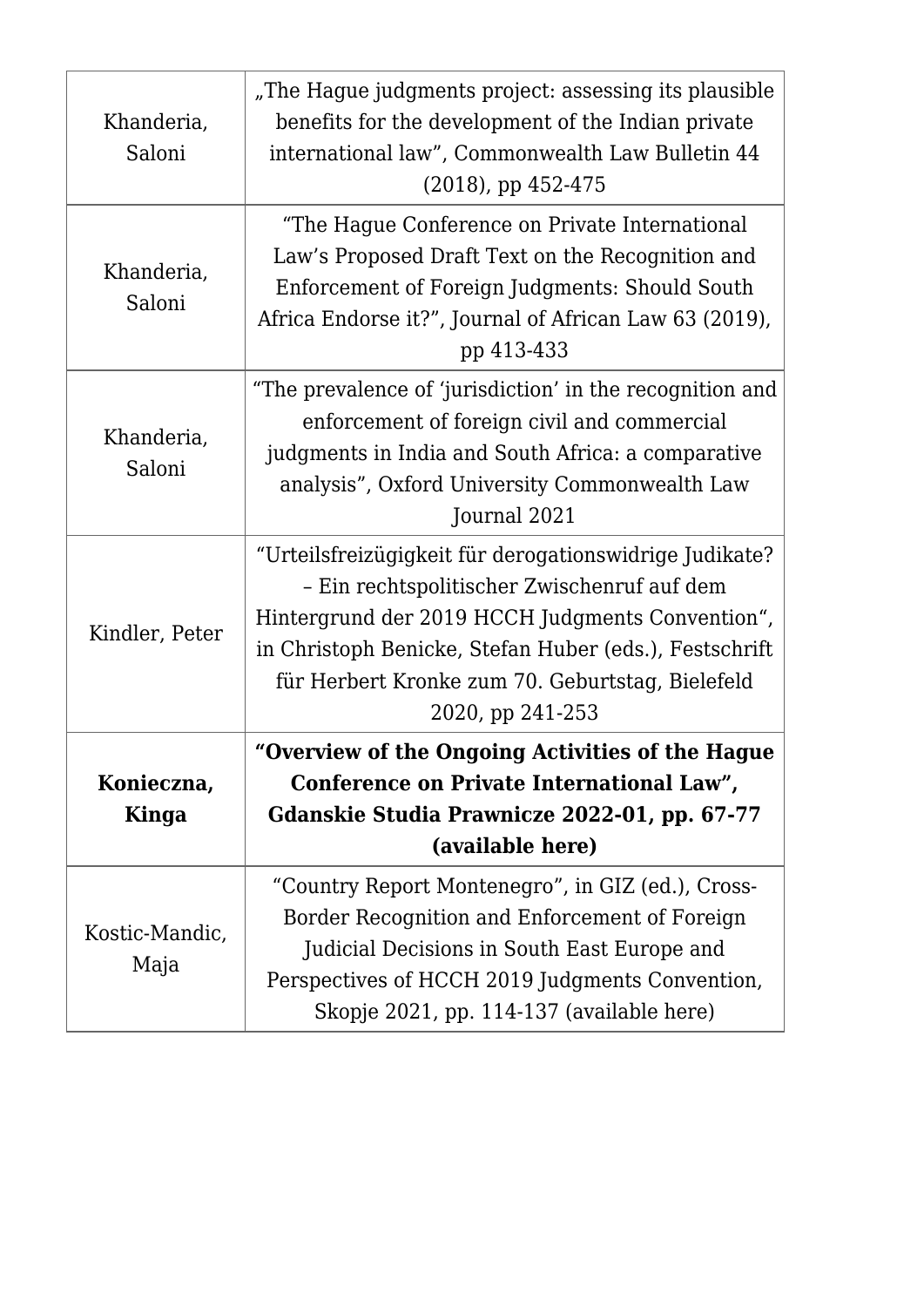| Khanderia,<br>Saloni   | "The Hague judgments project: assessing its plausible<br>benefits for the development of the Indian private<br>international law", Commonwealth Law Bulletin 44<br>$(2018)$ , pp 452-475                                                                                                    |
|------------------------|---------------------------------------------------------------------------------------------------------------------------------------------------------------------------------------------------------------------------------------------------------------------------------------------|
| Khanderia,<br>Saloni   | "The Hague Conference on Private International<br>Law's Proposed Draft Text on the Recognition and<br>Enforcement of Foreign Judgments: Should South<br>Africa Endorse it?", Journal of African Law 63 (2019),<br>pp 413-433                                                                |
| Khanderia,<br>Saloni   | "The prevalence of 'jurisdiction' in the recognition and<br>enforcement of foreign civil and commercial<br>judgments in India and South Africa: a comparative<br>analysis", Oxford University Commonwealth Law<br>Journal 2021                                                              |
| Kindler, Peter         | "Urteilsfreizügigkeit für derogationswidrige Judikate?<br>- Ein rechtspolitischer Zwischenruf auf dem<br>Hintergrund der 2019 HCCH Judgments Convention",<br>in Christoph Benicke, Stefan Huber (eds.), Festschrift<br>für Herbert Kronke zum 70. Geburtstag, Bielefeld<br>2020, pp 241-253 |
| Konieczna,<br>Kinga    | "Overview of the Ongoing Activities of the Hague<br>Conference on Private International Law",<br>Gdanskie Studia Prawnicze 2022-01, pp. 67-77<br>(available here)                                                                                                                           |
| Kostic-Mandic,<br>Maja | "Country Report Montenegro", in GIZ (ed.), Cross-<br>Border Recognition and Enforcement of Foreign<br>Judicial Decisions in South East Europe and<br>Perspectives of HCCH 2019 Judgments Convention,<br>Skopje 2021, pp. 114-137 (available here)                                           |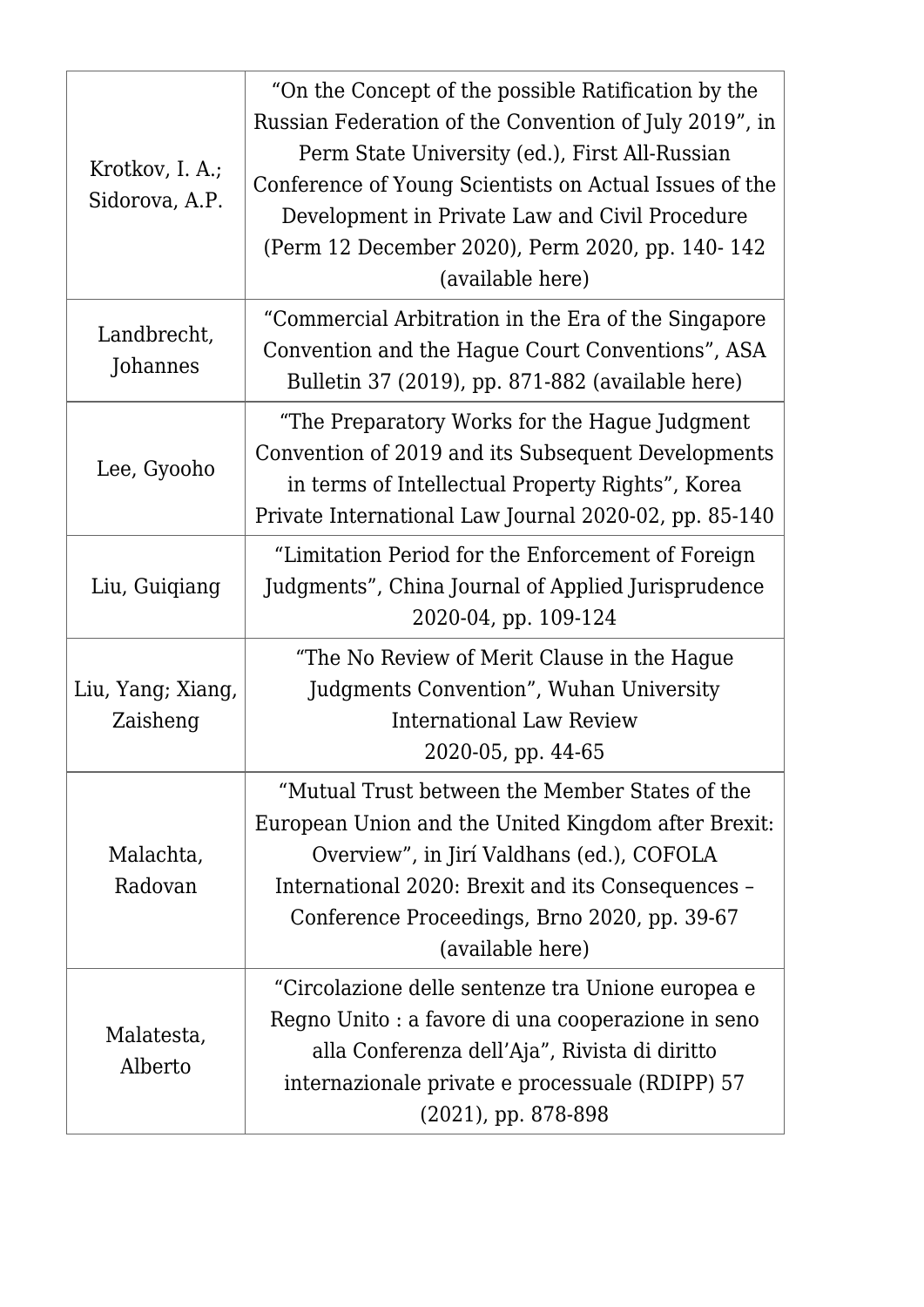| Krotkov, I. A.;<br>Sidorova, A.P. | "On the Concept of the possible Ratification by the<br>Russian Federation of the Convention of July 2019", in<br>Perm State University (ed.), First All-Russian<br>Conference of Young Scientists on Actual Issues of the<br>Development in Private Law and Civil Procedure<br>(Perm 12 December 2020), Perm 2020, pp. 140-142<br>(available here) |
|-----------------------------------|----------------------------------------------------------------------------------------------------------------------------------------------------------------------------------------------------------------------------------------------------------------------------------------------------------------------------------------------------|
| Landbrecht,<br>Johannes           | "Commercial Arbitration in the Era of the Singapore<br>Convention and the Hague Court Conventions", ASA<br>Bulletin 37 (2019), pp. 871-882 (available here)                                                                                                                                                                                        |
| Lee, Gyooho                       | "The Preparatory Works for the Hague Judgment"<br>Convention of 2019 and its Subsequent Developments<br>in terms of Intellectual Property Rights", Korea<br>Private International Law Journal 2020-02, pp. 85-140                                                                                                                                  |
| Liu, Guigiang                     | "Limitation Period for the Enforcement of Foreign<br>Judgments", China Journal of Applied Jurisprudence<br>2020-04, pp. 109-124                                                                                                                                                                                                                    |
| Liu, Yang; Xiang,<br>Zaisheng     | "The No Review of Merit Clause in the Hague<br>Judgments Convention", Wuhan University<br>International Law Review<br>2020-05, pp. 44-65                                                                                                                                                                                                           |
| Malachta,<br>Radovan              | "Mutual Trust between the Member States of the<br>European Union and the United Kingdom after Brexit:<br>Overview", in Jirí Valdhans (ed.), COFOLA<br>International 2020: Brexit and its Consequences -<br>Conference Proceedings, Brno 2020, pp. 39-67<br>(available here)                                                                        |
| Malatesta,<br>Alberto             | "Circolazione delle sentenze tra Unione europea e<br>Regno Unito : a favore di una cooperazione in seno<br>alla Conferenza dell'Aja", Rivista di diritto<br>internazionale private e processuale (RDIPP) 57<br>$(2021)$ , pp. 878-898                                                                                                              |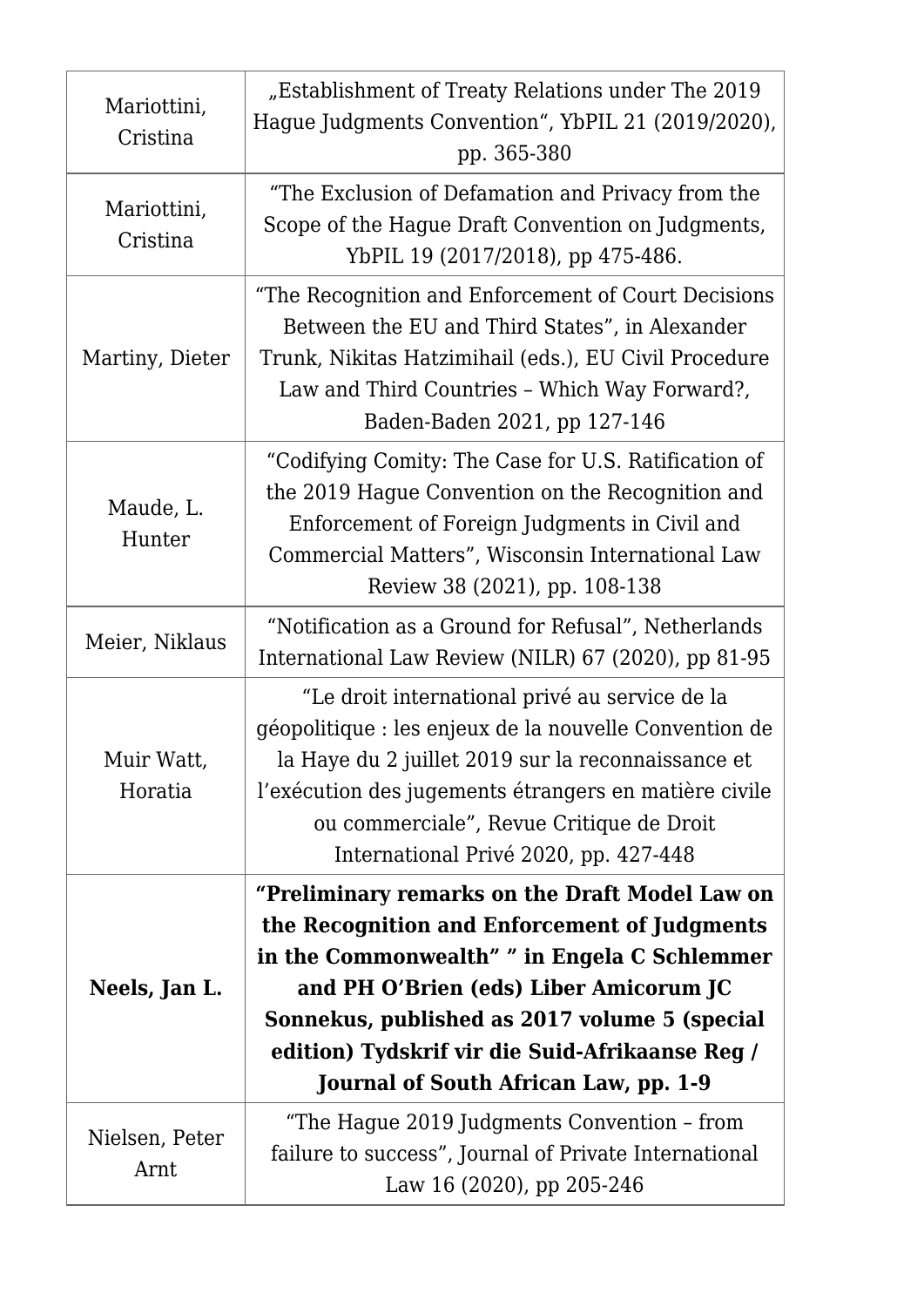| Mariottini,<br>Cristina | "Establishment of Treaty Relations under The 2019<br>Hague Judgments Convention", YbPIL 21 (2019/2020),<br>pp. 365-380                                                                                                                                                                                                                |
|-------------------------|---------------------------------------------------------------------------------------------------------------------------------------------------------------------------------------------------------------------------------------------------------------------------------------------------------------------------------------|
| Mariottini,<br>Cristina | "The Exclusion of Defamation and Privacy from the<br>Scope of the Hague Draft Convention on Judgments,<br>YbPIL 19 (2017/2018), pp 475-486.                                                                                                                                                                                           |
| Martiny, Dieter         | "The Recognition and Enforcement of Court Decisions<br>Between the EU and Third States", in Alexander<br>Trunk, Nikitas Hatzimihail (eds.), EU Civil Procedure<br>Law and Third Countries - Which Way Forward?,<br>Baden-Baden 2021, pp 127-146                                                                                       |
| Maude, L.<br>Hunter     | "Codifying Comity: The Case for U.S. Ratification of<br>the 2019 Hague Convention on the Recognition and<br>Enforcement of Foreign Judgments in Civil and<br>Commercial Matters", Wisconsin International Law<br>Review 38 (2021), pp. 108-138                                                                                        |
| Meier, Niklaus          | "Notification as a Ground for Refusal", Netherlands<br>International Law Review (NILR) 67 (2020), pp 81-95                                                                                                                                                                                                                            |
| Muir Watt,<br>Horatia   | "Le droit international privé au service de la<br>géopolitique : les enjeux de la nouvelle Convention de<br>la Haye du 2 juillet 2019 sur la reconnaissance et<br>l'exécution des jugements étrangers en matière civile<br>ou commerciale", Revue Critique de Droit<br>International Privé 2020, pp. 427-448                          |
| Neels, Jan L.           | "Preliminary remarks on the Draft Model Law on<br>the Recognition and Enforcement of Judgments<br>in the Commonwealth" " in Engela C Schlemmer<br>and PH O'Brien (eds) Liber Amicorum JC<br>Sonnekus, published as 2017 volume 5 (special<br>edition) Tydskrif vir die Suid-Afrikaanse Reg /<br>Journal of South African Law, pp. 1-9 |
| Nielsen, Peter<br>Arnt  | "The Hague 2019 Judgments Convention - from<br>failure to success", Journal of Private International<br>Law 16 (2020), pp 205-246                                                                                                                                                                                                     |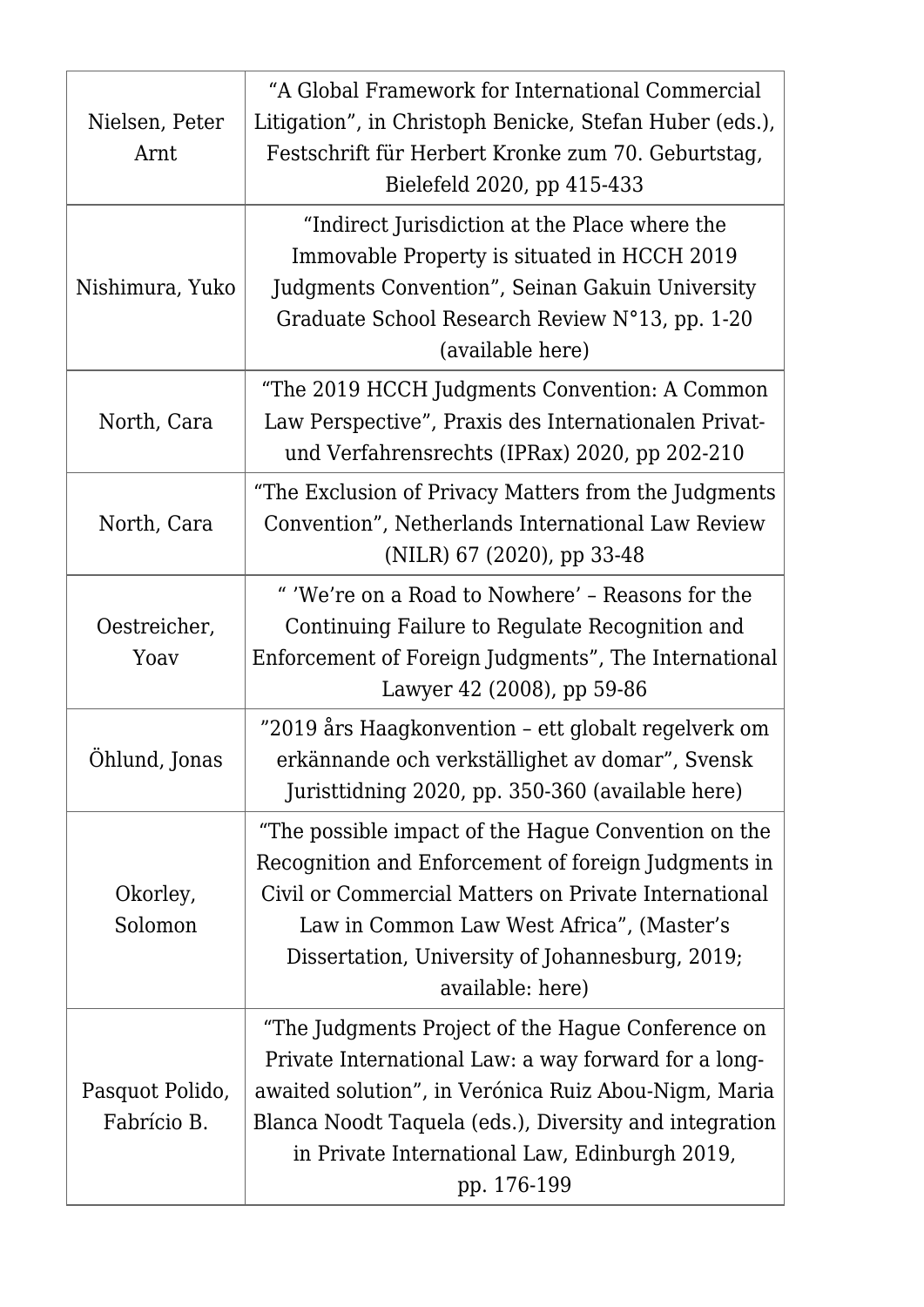| Nielsen, Peter<br>Arnt         | "A Global Framework for International Commercial<br>Litigation", in Christoph Benicke, Stefan Huber (eds.),<br>Festschrift für Herbert Kronke zum 70. Geburtstag,<br>Bielefeld 2020, pp 415-433                                                                                             |
|--------------------------------|---------------------------------------------------------------------------------------------------------------------------------------------------------------------------------------------------------------------------------------------------------------------------------------------|
| Nishimura, Yuko                | "Indirect Jurisdiction at the Place where the<br>Immovable Property is situated in HCCH 2019<br>Judgments Convention", Seinan Gakuin University<br>Graduate School Research Review N°13, pp. 1-20<br>(available here)                                                                       |
| North, Cara                    | "The 2019 HCCH Judgments Convention: A Common<br>Law Perspective", Praxis des Internationalen Privat-<br>und Verfahrensrechts (IPRax) 2020, pp 202-210                                                                                                                                      |
| North, Cara                    | "The Exclusion of Privacy Matters from the Judgments<br>Convention", Netherlands International Law Review<br>(NILR) 67 (2020), pp 33-48                                                                                                                                                     |
| Oestreicher,<br>Yoav           | " 'We're on a Road to Nowhere' - Reasons for the<br>Continuing Failure to Regulate Recognition and<br>Enforcement of Foreign Judgments", The International<br>Lawyer 42 (2008), pp 59-86                                                                                                    |
| Öhlund, Jonas                  | "2019 års Haagkonvention - ett globalt regelverk om<br>erkännande och verkställighet av domar", Svensk<br>Juristtidning 2020, pp. 350-360 (available here)                                                                                                                                  |
| Okorley,<br>Solomon            | "The possible impact of the Hague Convention on the<br>Recognition and Enforcement of foreign Judgments in<br>Civil or Commercial Matters on Private International<br>Law in Common Law West Africa", (Master's<br>Dissertation, University of Johannesburg, 2019;<br>available: here)      |
| Pasquot Polido,<br>Fabrício B. | "The Judgments Project of the Hague Conference on<br>Private International Law: a way forward for a long-<br>awaited solution", in Verónica Ruiz Abou-Nigm, Maria<br>Blanca Noodt Taquela (eds.), Diversity and integration<br>in Private International Law, Edinburgh 2019,<br>pp. 176-199 |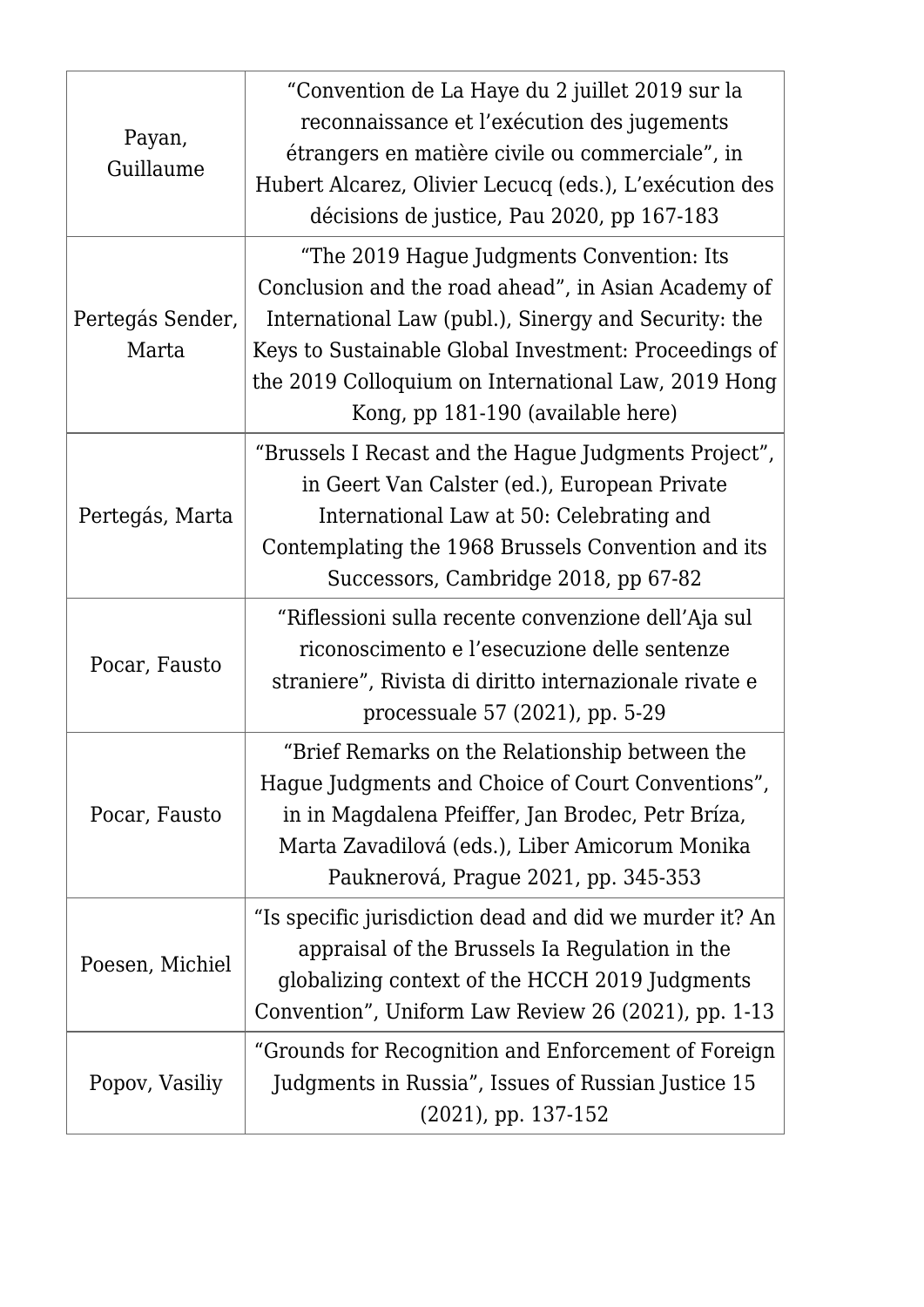| Payan,<br>Guillaume       | "Convention de La Haye du 2 juillet 2019 sur la<br>reconnaissance et l'exécution des jugements<br>étrangers en matière civile ou commerciale", in<br>Hubert Alcarez, Olivier Lecucq (eds.), L'exécution des<br>décisions de justice, Pau 2020, pp 167-183                                                     |
|---------------------------|---------------------------------------------------------------------------------------------------------------------------------------------------------------------------------------------------------------------------------------------------------------------------------------------------------------|
| Pertegás Sender,<br>Marta | "The 2019 Hague Judgments Convention: Its<br>Conclusion and the road ahead", in Asian Academy of<br>International Law (publ.), Sinergy and Security: the<br>Keys to Sustainable Global Investment: Proceedings of<br>the 2019 Colloquium on International Law, 2019 Hong<br>Kong, pp 181-190 (available here) |
| Pertegás, Marta           | "Brussels I Recast and the Hague Judgments Project",<br>in Geert Van Calster (ed.), European Private<br>International Law at 50: Celebrating and<br>Contemplating the 1968 Brussels Convention and its<br>Successors, Cambridge 2018, pp 67-82                                                                |
| Pocar, Fausto             | "Riflessioni sulla recente convenzione dell'Aja sul<br>riconoscimento e l'esecuzione delle sentenze<br>straniere", Rivista di diritto internazionale rivate e<br>processuale 57 (2021), pp. 5-29                                                                                                              |
| Pocar, Fausto             | "Brief Remarks on the Relationship between the<br>Hague Judgments and Choice of Court Conventions",<br>in in Magdalena Pfeiffer, Jan Brodec, Petr Bríza,<br>Marta Zavadilová (eds.), Liber Amicorum Monika<br>Pauknerová, Prague 2021, pp. 345-353                                                            |
| Poesen, Michiel           | "Is specific jurisdiction dead and did we murder it? An<br>appraisal of the Brussels Ia Regulation in the<br>globalizing context of the HCCH 2019 Judgments<br>Convention", Uniform Law Review 26 (2021), pp. 1-13                                                                                            |
| Popov, Vasiliy            | "Grounds for Recognition and Enforcement of Foreign<br>Judgments in Russia", Issues of Russian Justice 15<br>$(2021)$ , pp. 137-152                                                                                                                                                                           |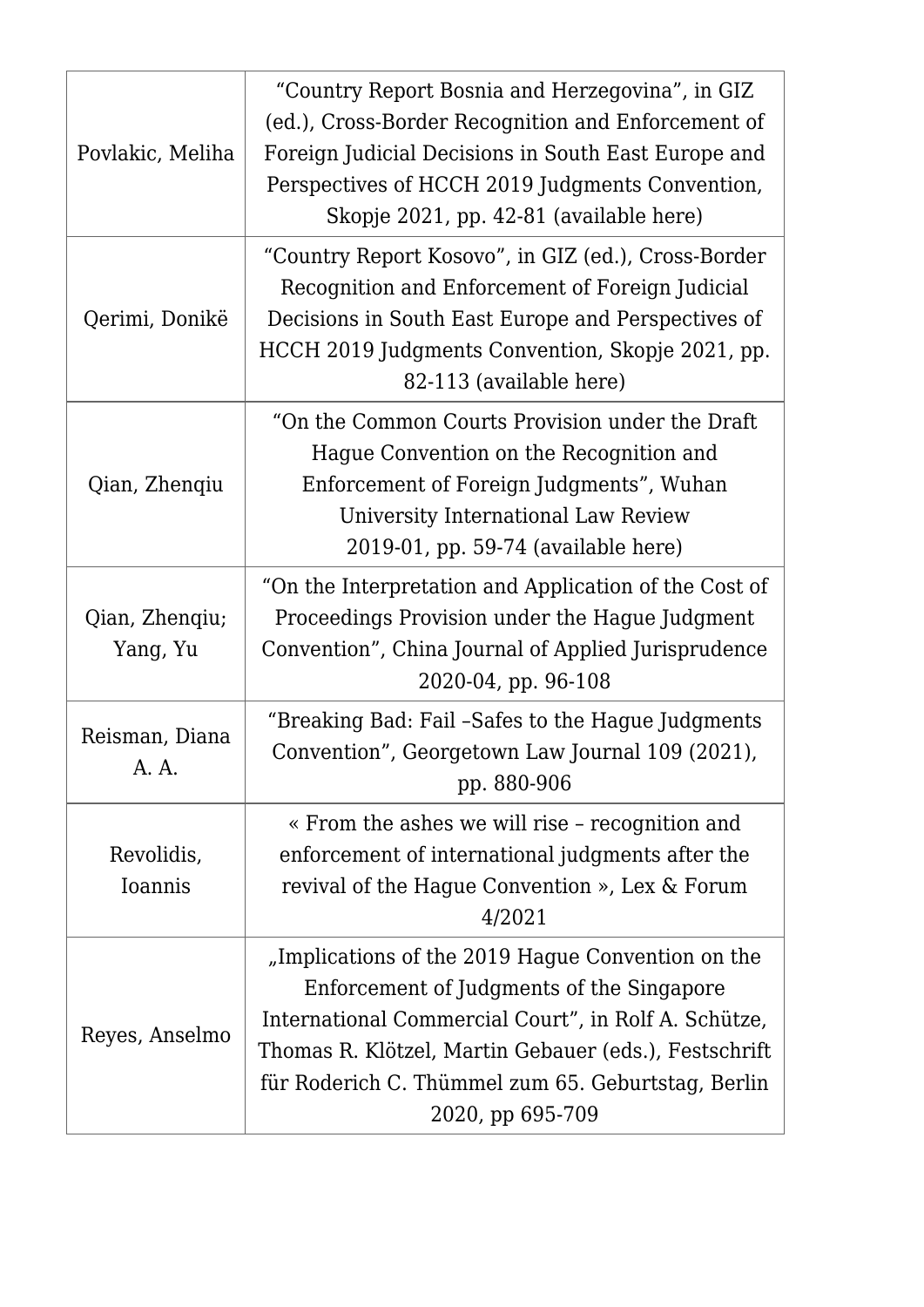| Povlakic, Meliha             | "Country Report Bosnia and Herzegovina", in GIZ<br>(ed.), Cross-Border Recognition and Enforcement of<br>Foreign Judicial Decisions in South East Europe and<br>Perspectives of HCCH 2019 Judgments Convention,<br>Skopje 2021, pp. 42-81 (available here)                                |
|------------------------------|-------------------------------------------------------------------------------------------------------------------------------------------------------------------------------------------------------------------------------------------------------------------------------------------|
| Qerimi, Donikë               | "Country Report Kosovo", in GIZ (ed.), Cross-Border<br>Recognition and Enforcement of Foreign Judicial<br>Decisions in South East Europe and Perspectives of<br>HCCH 2019 Judgments Convention, Skopje 2021, pp.<br>82-113 (available here)                                               |
| Qian, Zhenqiu                | "On the Common Courts Provision under the Draft<br>Hague Convention on the Recognition and<br>Enforcement of Foreign Judgments", Wuhan<br>University International Law Review<br>2019-01, pp. 59-74 (available here)                                                                      |
| Qian, Zhenqiu;<br>Yang, Yu   | "On the Interpretation and Application of the Cost of<br>Proceedings Provision under the Hague Judgment<br>Convention", China Journal of Applied Jurisprudence<br>2020-04, pp. 96-108                                                                                                     |
| Reisman, Diana<br>A. A.      | "Breaking Bad: Fail -Safes to the Hague Judgments<br>Convention", Georgetown Law Journal 109 (2021),<br>pp. 880-906                                                                                                                                                                       |
| Revolidis,<br><b>Ioannis</b> | « From the ashes we will rise - recognition and<br>enforcement of international judgments after the<br>revival of the Hague Convention », Lex & Forum<br>4/2021                                                                                                                           |
| Reyes, Anselmo               | "Implications of the 2019 Hague Convention on the<br>Enforcement of Judgments of the Singapore<br>International Commercial Court", in Rolf A. Schütze,<br>Thomas R. Klötzel, Martin Gebauer (eds.), Festschrift<br>für Roderich C. Thümmel zum 65. Geburtstag, Berlin<br>2020, pp 695-709 |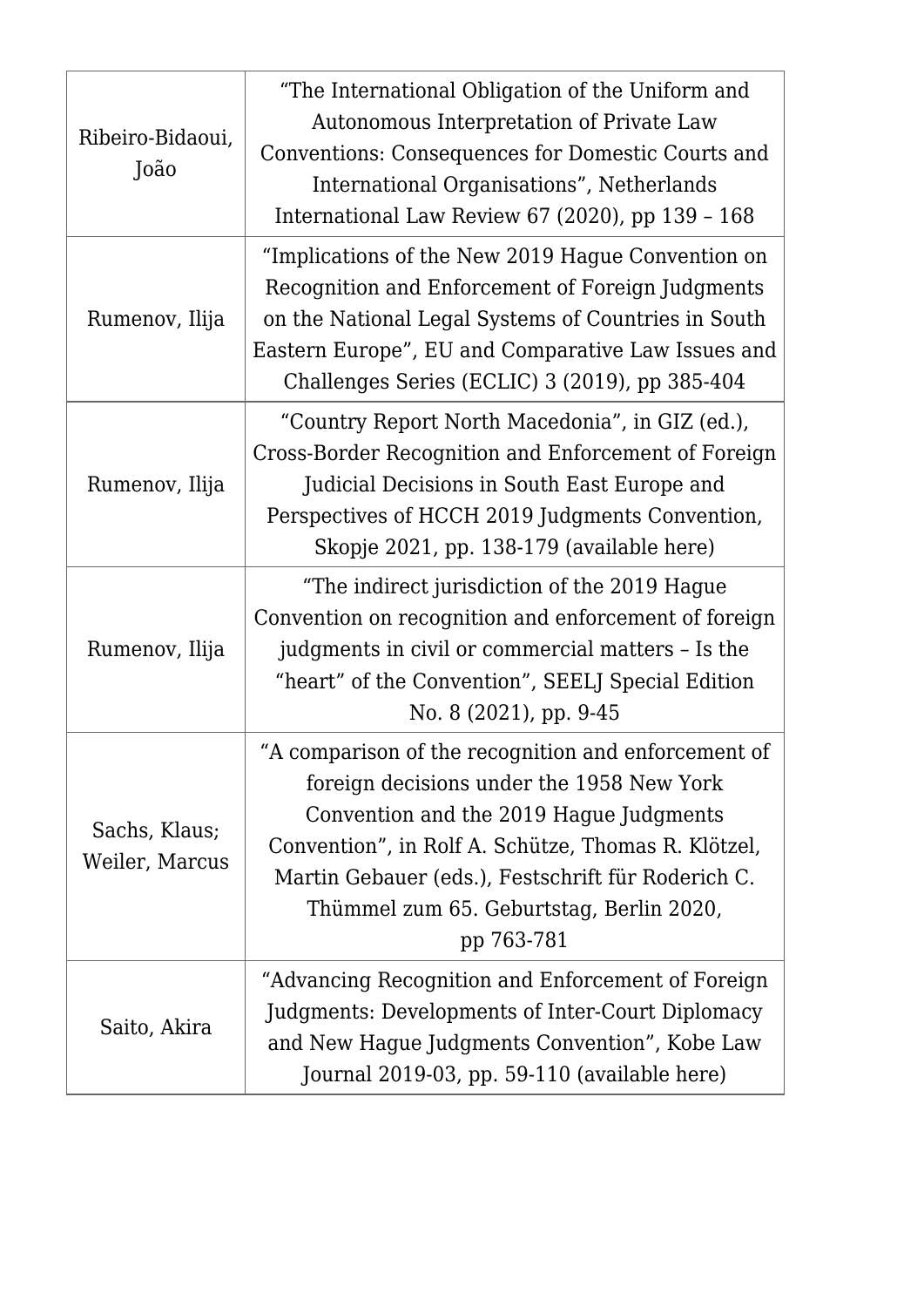| Ribeiro-Bidaoui,<br>João        | "The International Obligation of the Uniform and<br>Autonomous Interpretation of Private Law<br>Conventions: Consequences for Domestic Courts and<br>International Organisations", Netherlands<br>International Law Review 67 (2020), pp 139 - 168                                                                 |
|---------------------------------|--------------------------------------------------------------------------------------------------------------------------------------------------------------------------------------------------------------------------------------------------------------------------------------------------------------------|
| Rumenov, Ilija                  | "Implications of the New 2019 Hague Convention on<br>Recognition and Enforcement of Foreign Judgments<br>on the National Legal Systems of Countries in South<br>Eastern Europe", EU and Comparative Law Issues and<br>Challenges Series (ECLIC) 3 (2019), pp 385-404                                               |
| Rumenov, Ilija                  | "Country Report North Macedonia", in GIZ (ed.),<br>Cross-Border Recognition and Enforcement of Foreign<br>Judicial Decisions in South East Europe and<br>Perspectives of HCCH 2019 Judgments Convention,<br>Skopje 2021, pp. 138-179 (available here)                                                              |
| Rumenov, Ilija                  | "The indirect jurisdiction of the 2019 Hague<br>Convention on recognition and enforcement of foreign<br>judgments in civil or commercial matters - Is the<br>"heart" of the Convention", SEELJ Special Edition<br>No. 8 (2021), pp. 9-45                                                                           |
| Sachs, Klaus;<br>Weiler, Marcus | "A comparison of the recognition and enforcement of<br>foreign decisions under the 1958 New York<br>Convention and the 2019 Hague Judgments<br>Convention", in Rolf A. Schütze, Thomas R. Klötzel,<br>Martin Gebauer (eds.), Festschrift für Roderich C.<br>Thümmel zum 65. Geburtstag, Berlin 2020,<br>pp 763-781 |
| Saito, Akira                    | "Advancing Recognition and Enforcement of Foreign<br>Judgments: Developments of Inter-Court Diplomacy<br>and New Hague Judgments Convention", Kobe Law<br>Journal 2019-03, pp. 59-110 (available here)                                                                                                             |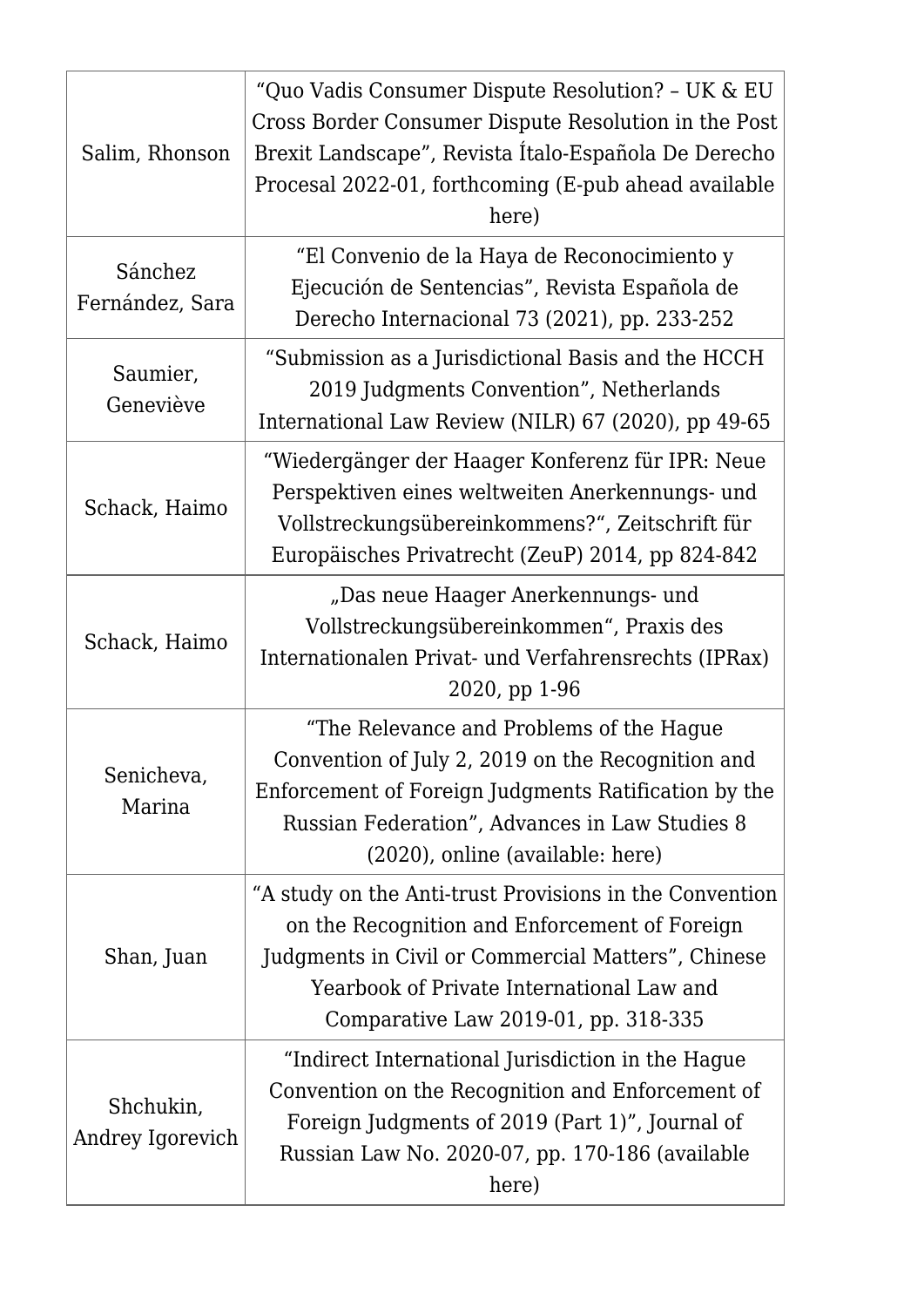| Salim, Rhonson                | "Quo Vadis Consumer Dispute Resolution? - UK & EU<br>Cross Border Consumer Dispute Resolution in the Post<br>Brexit Landscape", Revista Italo-Española De Derecho<br>Procesal 2022-01, forthcoming (E-pub ahead available<br>here)                  |
|-------------------------------|-----------------------------------------------------------------------------------------------------------------------------------------------------------------------------------------------------------------------------------------------------|
| Sánchez<br>Fernández, Sara    | "El Convenio de la Haya de Reconocimiento y<br>Ejecución de Sentencias", Revista Española de<br>Derecho Internacional 73 (2021), pp. 233-252                                                                                                        |
| Saumier,<br>Geneviève         | "Submission as a Jurisdictional Basis and the HCCH<br>2019 Judgments Convention", Netherlands<br>International Law Review (NILR) 67 (2020), pp 49-65                                                                                                |
| Schack, Haimo                 | "Wiedergänger der Haager Konferenz für IPR: Neue<br>Perspektiven eines weltweiten Anerkennungs- und<br>Vollstreckungsübereinkommens?", Zeitschrift für<br>Europäisches Privatrecht (ZeuP) 2014, pp 824-842                                          |
| Schack, Haimo                 | "Das neue Haager Anerkennungs- und<br>Vollstreckungsübereinkommen", Praxis des<br>Internationalen Privat- und Verfahrensrechts (IPRax)<br>2020, pp 1-96                                                                                             |
| Senicheva,<br>Marina          | "The Relevance and Problems of the Hague<br>Convention of July 2, 2019 on the Recognition and<br>Enforcement of Foreign Judgments Ratification by the<br>Russian Federation", Advances in Law Studies 8<br>(2020), online (available: here)         |
| Shan, Juan                    | "A study on the Anti-trust Provisions in the Convention<br>on the Recognition and Enforcement of Foreign<br>Judgments in Civil or Commercial Matters", Chinese<br>Yearbook of Private International Law and<br>Comparative Law 2019-01, pp. 318-335 |
| Shchukin,<br>Andrey Igorevich | "Indirect International Jurisdiction in the Hague<br>Convention on the Recognition and Enforcement of<br>Foreign Judgments of 2019 (Part 1)", Journal of<br>Russian Law No. 2020-07, pp. 170-186 (available<br>here)                                |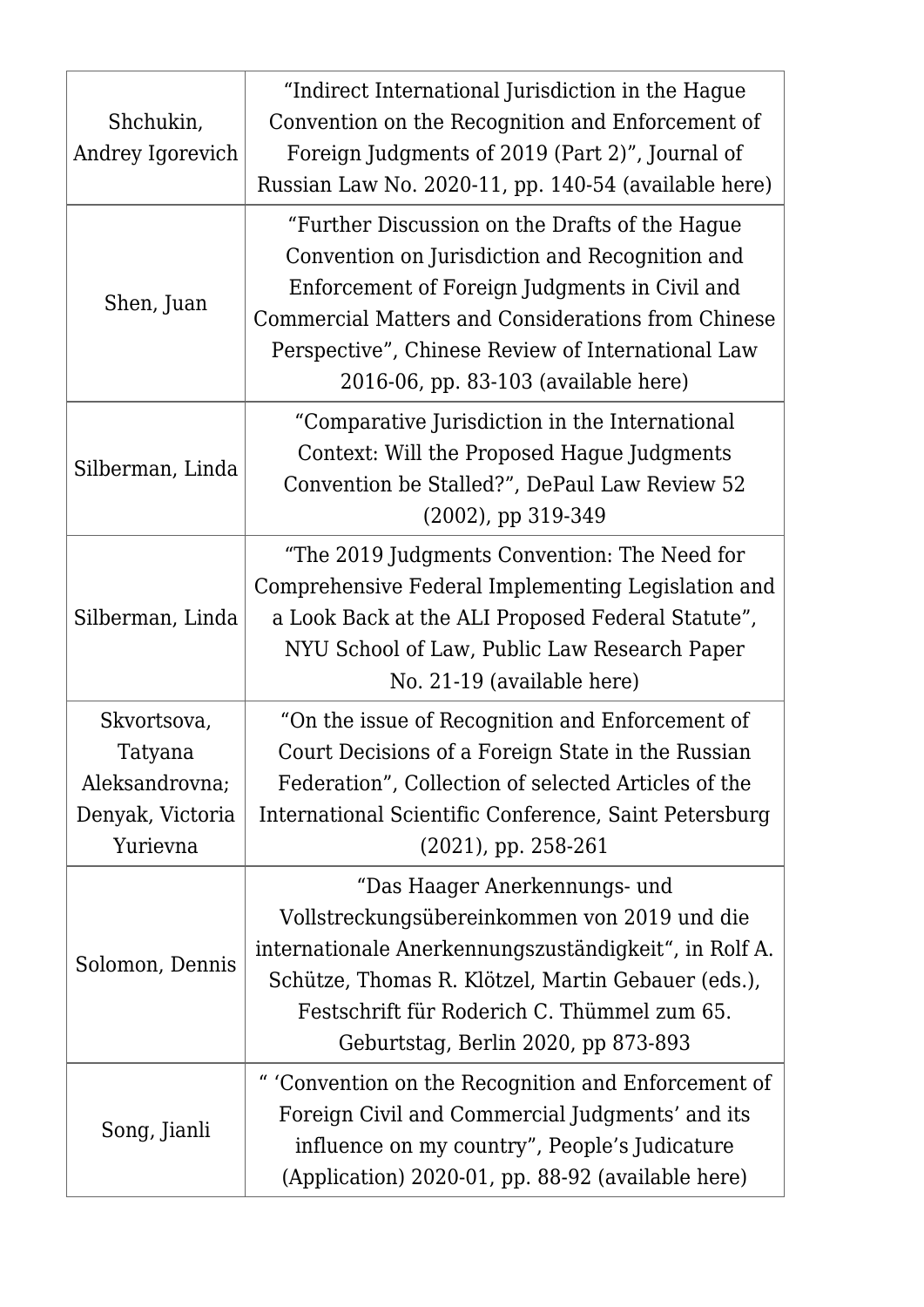| Shchukin,<br>Andrey Igorevich | "Indirect International Jurisdiction in the Hague<br>Convention on the Recognition and Enforcement of<br>Foreign Judgments of 2019 (Part 2)", Journal of<br>Russian Law No. 2020-11, pp. 140-54 (available here)                                                                                     |
|-------------------------------|------------------------------------------------------------------------------------------------------------------------------------------------------------------------------------------------------------------------------------------------------------------------------------------------------|
| Shen, Juan                    | "Further Discussion on the Drafts of the Hague<br>Convention on Jurisdiction and Recognition and<br>Enforcement of Foreign Judgments in Civil and<br>Commercial Matters and Considerations from Chinese<br>Perspective", Chinese Review of International Law<br>2016-06, pp. 83-103 (available here) |
| Silberman, Linda              | "Comparative Jurisdiction in the International<br>Context: Will the Proposed Hague Judgments<br>Convention be Stalled?", DePaul Law Review 52<br>$(2002)$ , pp 319-349                                                                                                                               |
| Silberman, Linda              | "The 2019 Judgments Convention: The Need for<br>Comprehensive Federal Implementing Legislation and<br>a Look Back at the ALI Proposed Federal Statute",<br>NYU School of Law, Public Law Research Paper<br>No. 21-19 (available here)                                                                |
| Skvortsova,                   | "On the issue of Recognition and Enforcement of                                                                                                                                                                                                                                                      |
| Tatyana                       | Court Decisions of a Foreign State in the Russian                                                                                                                                                                                                                                                    |
| Aleksandrovna;                | Federation", Collection of selected Articles of the                                                                                                                                                                                                                                                  |
| Denyak, Victoria              | International Scientific Conference, Saint Petersburg                                                                                                                                                                                                                                                |
| Yurievna                      | $(2021)$ , pp. 258-261                                                                                                                                                                                                                                                                               |
| Solomon, Dennis               | "Das Haager Anerkennungs- und<br>Vollstreckungsübereinkommen von 2019 und die<br>internationale Anerkennungszuständigkeit", in Rolf A.<br>Schütze, Thomas R. Klötzel, Martin Gebauer (eds.),<br>Festschrift für Roderich C. Thümmel zum 65.<br>Geburtstag, Berlin 2020, pp 873-893                   |
| Song, Jianli                  | " 'Convention on the Recognition and Enforcement of<br>Foreign Civil and Commercial Judgments' and its<br>influence on my country", People's Judicature<br>(Application) 2020-01, pp. 88-92 (available here)                                                                                         |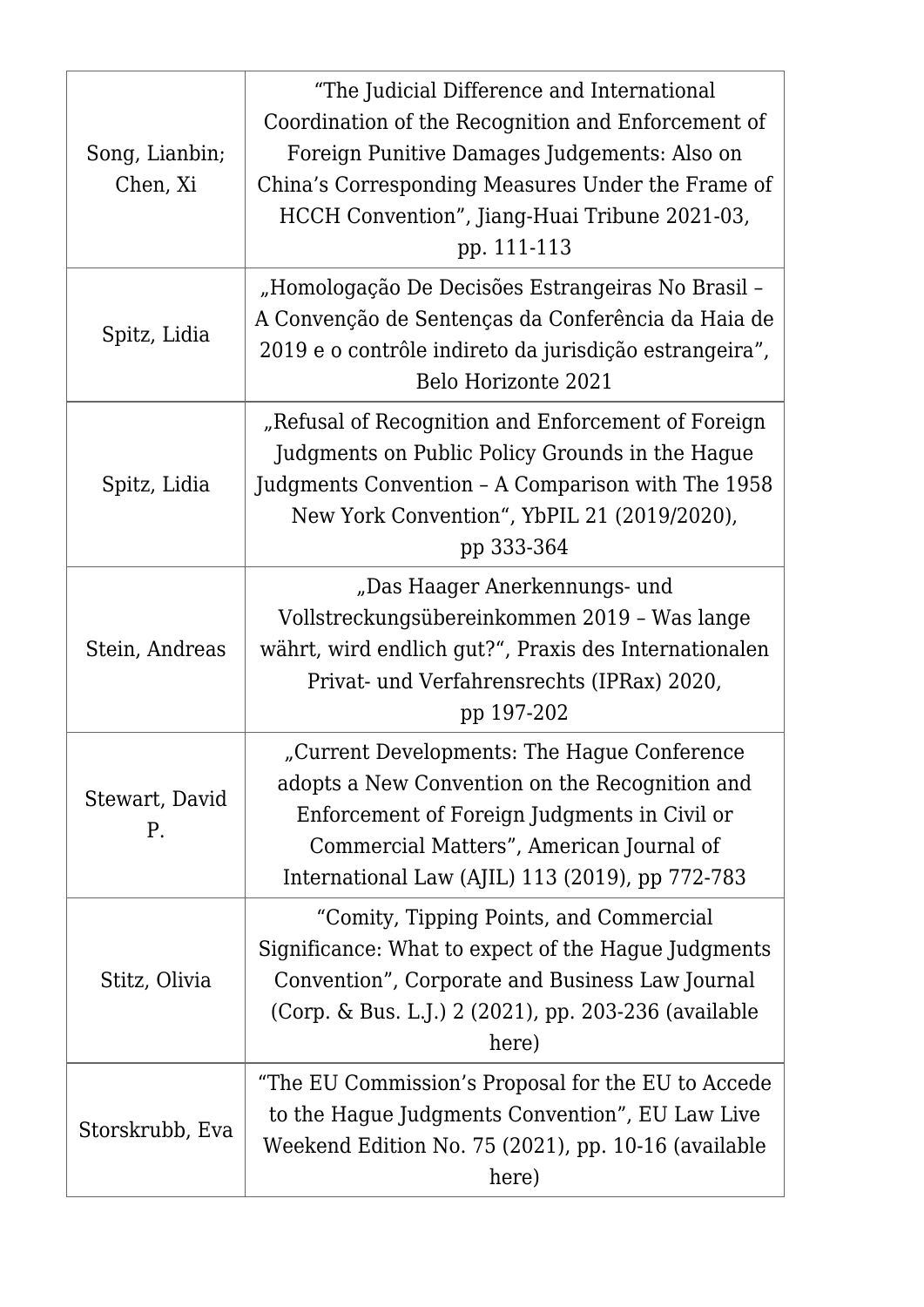| Song, Lianbin;<br>Chen, Xi | "The Judicial Difference and International<br>Coordination of the Recognition and Enforcement of<br>Foreign Punitive Damages Judgements: Also on<br>China's Corresponding Measures Under the Frame of<br>HCCH Convention", Jiang-Huai Tribune 2021-03,<br>pp. 111-113 |
|----------------------------|-----------------------------------------------------------------------------------------------------------------------------------------------------------------------------------------------------------------------------------------------------------------------|
| Spitz, Lidia               | "Homologação De Decisões Estrangeiras No Brasil -<br>A Convenção de Sentenças da Conferência da Haia de<br>2019 e o contrôle indireto da jurisdição estrangeira",<br>Belo Horizonte 2021                                                                              |
| Spitz, Lidia               | "Refusal of Recognition and Enforcement of Foreign<br>Judgments on Public Policy Grounds in the Hague<br>Judgments Convention - A Comparison with The 1958<br>New York Convention", YbPIL 21 (2019/2020),<br>pp 333-364                                               |
| Stein, Andreas             | "Das Haager Anerkennungs- und<br>Vollstreckungsübereinkommen 2019 - Was lange<br>währt, wird endlich gut?", Praxis des Internationalen<br>Privat- und Verfahrensrechts (IPRax) 2020,<br>pp 197-202                                                                    |
| Stewart, David<br>P.       | "Current Developments: The Hague Conference<br>adopts a New Convention on the Recognition and<br>Enforcement of Foreign Judgments in Civil or<br>Commercial Matters", American Journal of<br>International Law (AJIL) 113 (2019), pp 772-783                          |
| Stitz, Olivia              | "Comity, Tipping Points, and Commercial<br>Significance: What to expect of the Hague Judgments<br>Convention", Corporate and Business Law Journal<br>(Corp. & Bus. L.J.) 2 (2021), pp. 203-236 (available<br>here)                                                    |
| Storskrubb, Eva            | "The EU Commission's Proposal for the EU to Accede"<br>to the Hague Judgments Convention", EU Law Live<br>Weekend Edition No. 75 (2021), pp. 10-16 (available<br>here)                                                                                                |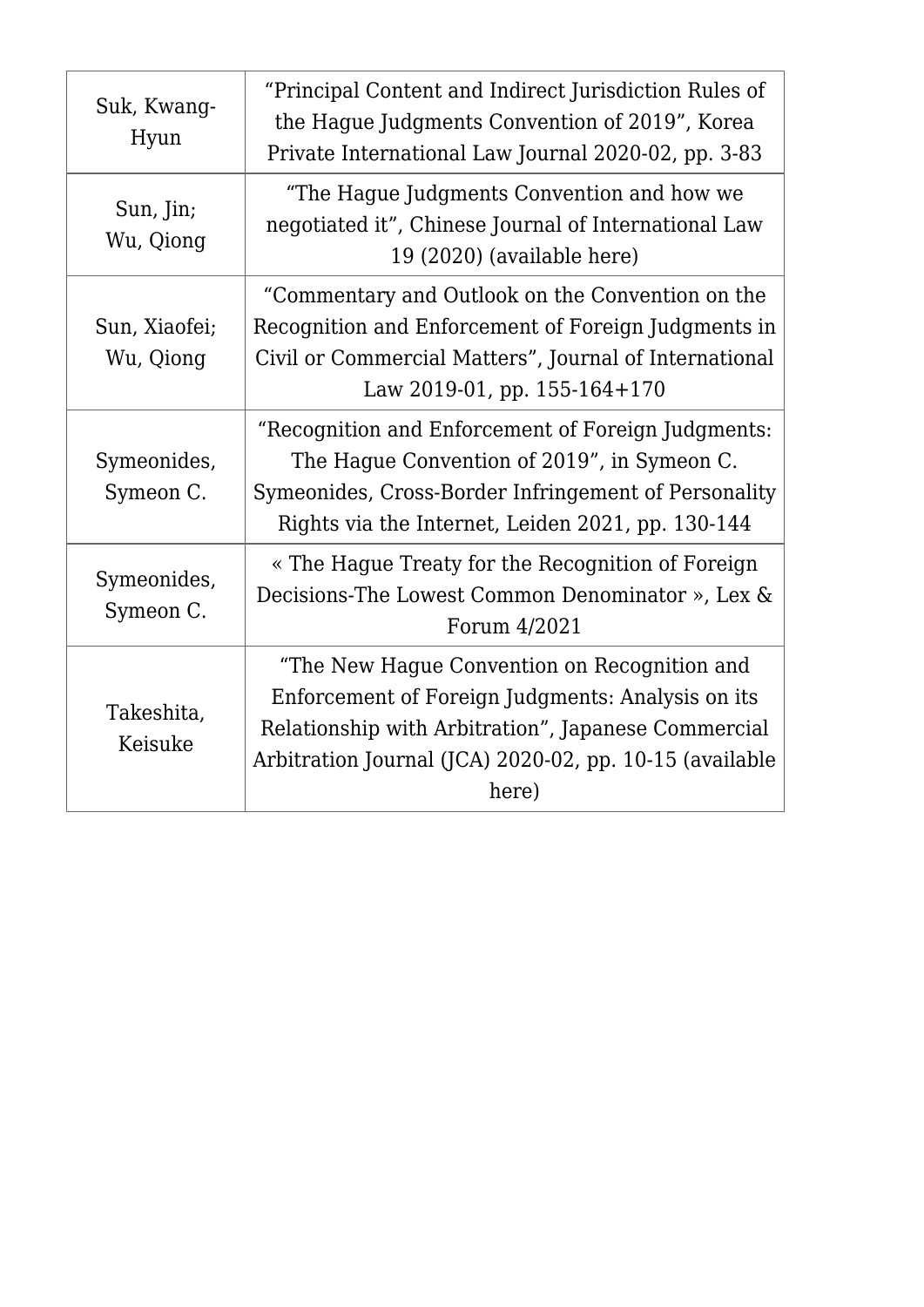| Suk, Kwang-<br>Hyun        | "Principal Content and Indirect Jurisdiction Rules of<br>the Hague Judgments Convention of 2019", Korea<br>Private International Law Journal 2020-02, pp. 3-83                                                               |
|----------------------------|------------------------------------------------------------------------------------------------------------------------------------------------------------------------------------------------------------------------------|
| Sun, Jin;<br>Wu, Qiong     | "The Hague Judgments Convention and how we<br>negotiated it", Chinese Journal of International Law<br>19 (2020) (available here)                                                                                             |
| Sun, Xiaofei;<br>Wu, Qiong | "Commentary and Outlook on the Convention on the<br>Recognition and Enforcement of Foreign Judgments in<br>Civil or Commercial Matters", Journal of International<br>Law 2019-01, pp. $155-164+170$                          |
| Symeonides,<br>Symeon C.   | "Recognition and Enforcement of Foreign Judgments:<br>The Hague Convention of 2019", in Symeon C.<br>Symeonides, Cross-Border Infringement of Personality<br>Rights via the Internet, Leiden 2021, pp. 130-144               |
| Symeonides,<br>Symeon C.   | « The Hague Treaty for the Recognition of Foreign<br>Decisions-The Lowest Common Denominator », Lex &<br>Forum 4/2021                                                                                                        |
| Takeshita,<br>Keisuke      | "The New Hague Convention on Recognition and<br>Enforcement of Foreign Judgments: Analysis on its<br>Relationship with Arbitration", Japanese Commercial<br>Arbitration Journal (JCA) 2020-02, pp. 10-15 (available<br>here) |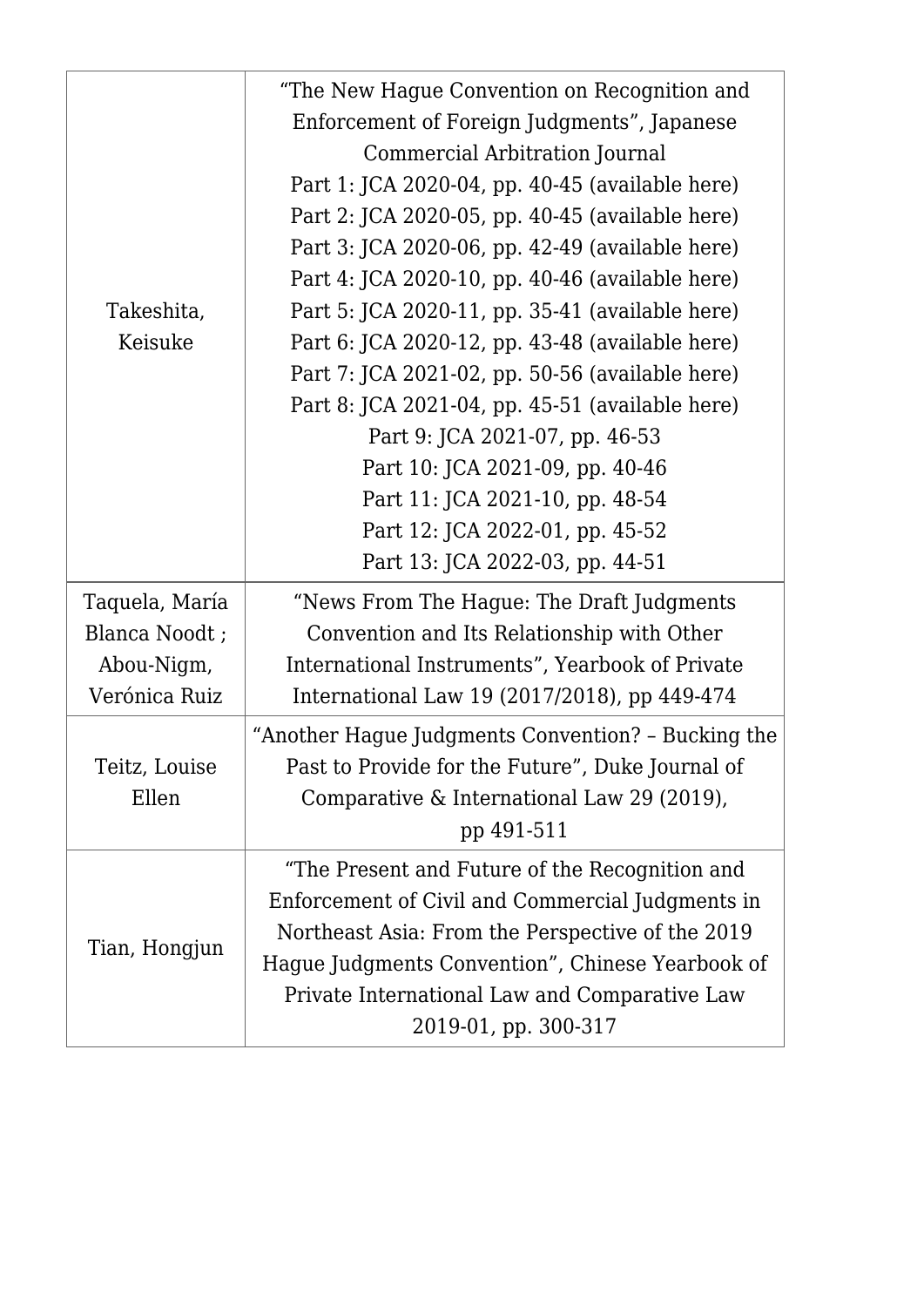| Takeshita,<br>Keisuke                                          | "The New Hague Convention on Recognition and<br>Enforcement of Foreign Judgments", Japanese<br>Commercial Arbitration Journal<br>Part 1: JCA 2020-04, pp. 40-45 (available here)<br>Part 2: JCA 2020-05, pp. 40-45 (available here)<br>Part 3: JCA 2020-06, pp. 42-49 (available here)<br>Part 4: JCA 2020-10, pp. 40-46 (available here)<br>Part 5: JCA 2020-11, pp. 35-41 (available here)<br>Part 6: JCA 2020-12, pp. 43-48 (available here)<br>Part 7: JCA 2021-02, pp. 50-56 (available here)<br>Part 8: JCA 2021-04, pp. 45-51 (available here)<br>Part 9: JCA 2021-07, pp. 46-53<br>Part 10: JCA 2021-09, pp. 40-46 |
|----------------------------------------------------------------|----------------------------------------------------------------------------------------------------------------------------------------------------------------------------------------------------------------------------------------------------------------------------------------------------------------------------------------------------------------------------------------------------------------------------------------------------------------------------------------------------------------------------------------------------------------------------------------------------------------------------|
|                                                                | Part 11: JCA 2021-10, pp. 48-54<br>Part 12: JCA 2022-01, pp. 45-52<br>Part 13: JCA 2022-03, pp. 44-51                                                                                                                                                                                                                                                                                                                                                                                                                                                                                                                      |
| Taquela, María<br>Blanca Noodt;<br>Abou-Nigm,<br>Verónica Ruiz | "News From The Hague: The Draft Judgments<br>Convention and Its Relationship with Other<br>International Instruments", Yearbook of Private<br>International Law 19 (2017/2018), pp 449-474                                                                                                                                                                                                                                                                                                                                                                                                                                 |
| Teitz, Louise<br>Ellen                                         | "Another Hague Judgments Convention? - Bucking the<br>Past to Provide for the Future", Duke Journal of<br>Comparative & International Law 29 (2019),<br>pp 491-511                                                                                                                                                                                                                                                                                                                                                                                                                                                         |
| Tian, Hongjun                                                  | "The Present and Future of the Recognition and<br>Enforcement of Civil and Commercial Judgments in<br>Northeast Asia: From the Perspective of the 2019<br>Hague Judgments Convention", Chinese Yearbook of<br>Private International Law and Comparative Law<br>2019-01, pp. 300-317                                                                                                                                                                                                                                                                                                                                        |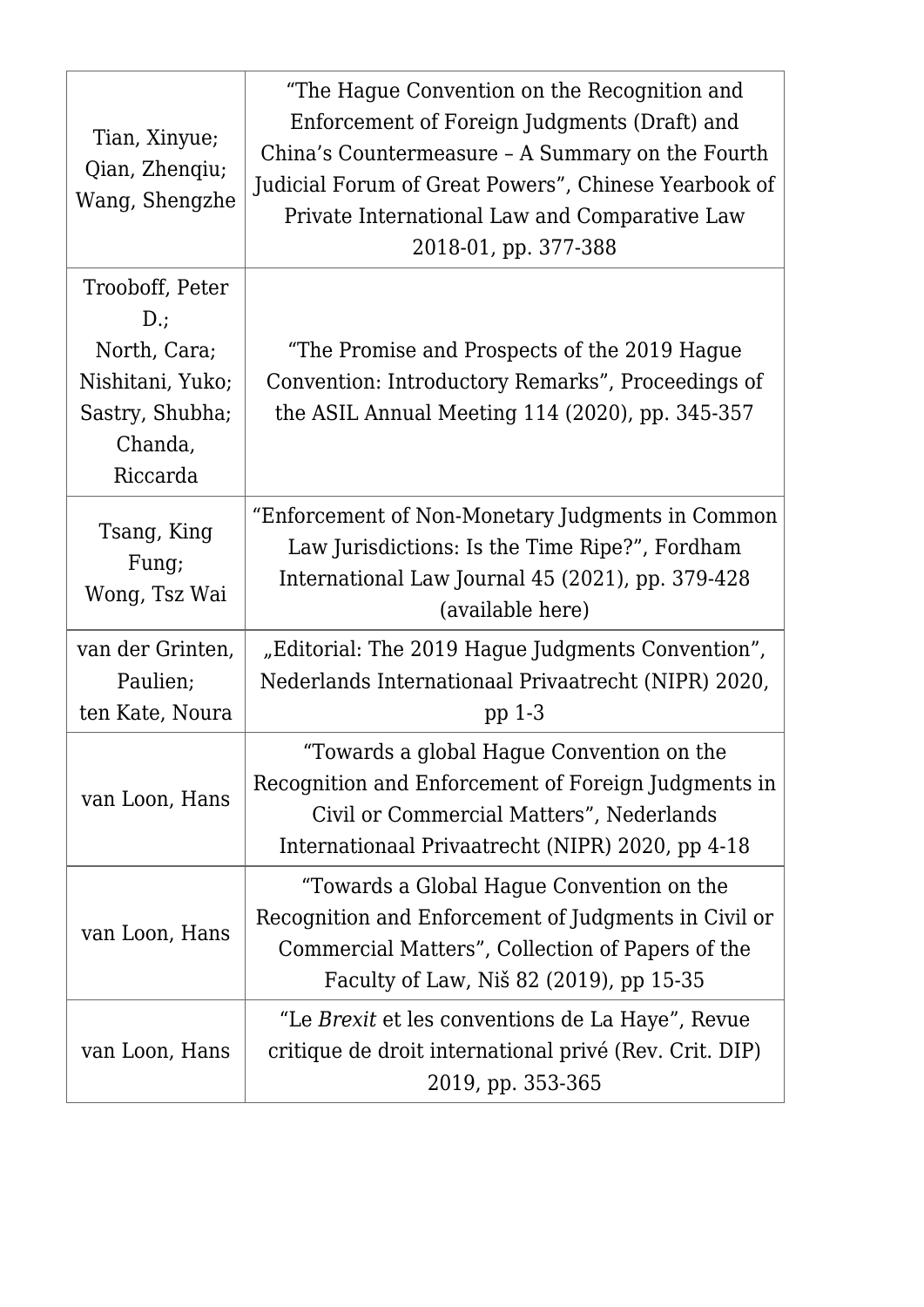| Tian, Xinyue;<br>Qian, Zhenqiu;<br>Wang, Shengzhe                                                       | "The Hague Convention on the Recognition and<br>Enforcement of Foreign Judgments (Draft) and<br>China's Countermeasure - A Summary on the Fourth<br>Judicial Forum of Great Powers", Chinese Yearbook of<br>Private International Law and Comparative Law<br>2018-01, pp. 377-388 |
|---------------------------------------------------------------------------------------------------------|-----------------------------------------------------------------------------------------------------------------------------------------------------------------------------------------------------------------------------------------------------------------------------------|
| Trooboff, Peter<br>$D$ .;<br>North, Cara;<br>Nishitani, Yuko;<br>Sastry, Shubha;<br>Chanda,<br>Riccarda | "The Promise and Prospects of the 2019 Hague<br>Convention: Introductory Remarks", Proceedings of<br>the ASIL Annual Meeting 114 (2020), pp. 345-357                                                                                                                              |
| Tsang, King<br>Fung;<br>Wong, Tsz Wai                                                                   | "Enforcement of Non-Monetary Judgments in Common<br>Law Jurisdictions: Is the Time Ripe?", Fordham<br>International Law Journal 45 (2021), pp. 379-428<br>(available here)                                                                                                        |
| van der Grinten,<br>Paulien;<br>ten Kate, Noura                                                         | "Editorial: The 2019 Hague Judgments Convention",<br>Nederlands Internationaal Privaatrecht (NIPR) 2020,<br>pp $1-3$                                                                                                                                                              |
| van Loon, Hans                                                                                          | "Towards a global Hague Convention on the<br>Recognition and Enforcement of Foreign Judgments in<br>Civil or Commercial Matters", Nederlands<br>Internationaal Privaatrecht (NIPR) 2020, pp 4-18                                                                                  |
| van Loon, Hans                                                                                          | "Towards a Global Hague Convention on the<br>Recognition and Enforcement of Judgments in Civil or<br>Commercial Matters", Collection of Papers of the<br>Faculty of Law, Niš 82 (2019), pp 15-35                                                                                  |
| van Loon, Hans                                                                                          | "Le Brexit et les conventions de La Haye", Revue<br>critique de droit international privé (Rev. Crit. DIP)<br>2019, pp. 353-365                                                                                                                                                   |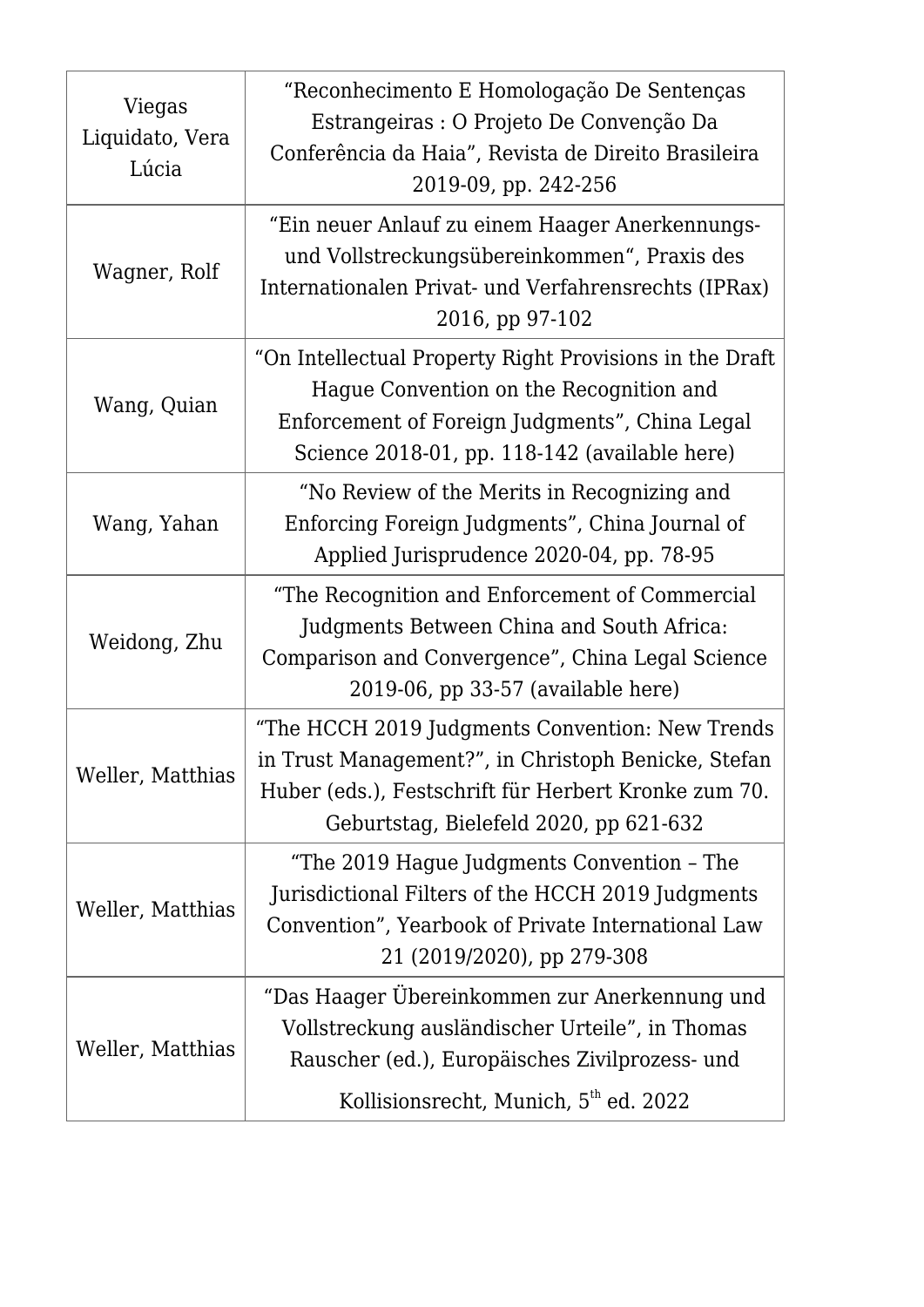| Viegas<br>Liquidato, Vera<br>Lúcia | "Reconhecimento E Homologação De Sentenças<br>Estrangeiras : O Projeto De Convenção Da<br>Conferência da Haia", Revista de Direito Brasileira<br>2019-09, pp. 242-256                                    |
|------------------------------------|----------------------------------------------------------------------------------------------------------------------------------------------------------------------------------------------------------|
| Wagner, Rolf                       | "Ein neuer Anlauf zu einem Haager Anerkennungs-<br>und Vollstreckungsübereinkommen", Praxis des<br>Internationalen Privat- und Verfahrensrechts (IPRax)<br>2016, pp 97-102                               |
| Wang, Quian                        | "On Intellectual Property Right Provisions in the Draft<br>Hague Convention on the Recognition and<br>Enforcement of Foreign Judgments", China Legal<br>Science 2018-01, pp. 118-142 (available here)    |
| Wang, Yahan                        | "No Review of the Merits in Recognizing and<br>Enforcing Foreign Judgments", China Journal of<br>Applied Jurisprudence 2020-04, pp. 78-95                                                                |
| Weidong, Zhu                       | "The Recognition and Enforcement of Commercial<br>Judgments Between China and South Africa:<br>Comparison and Convergence", China Legal Science<br>2019-06, pp 33-57 (available here)                    |
| Weller, Matthias                   | "The HCCH 2019 Judgments Convention: New Trends<br>in Trust Management?", in Christoph Benicke, Stefan<br>Huber (eds.), Festschrift für Herbert Kronke zum 70.<br>Geburtstag, Bielefeld 2020, pp 621-632 |
| Weller, Matthias                   | "The 2019 Hague Judgments Convention - The<br>Jurisdictional Filters of the HCCH 2019 Judgments<br>Convention", Yearbook of Private International Law<br>21 (2019/2020), pp 279-308                      |
| Weller, Matthias                   | "Das Haager Übereinkommen zur Anerkennung und<br>Vollstreckung ausländischer Urteile", in Thomas<br>Rauscher (ed.), Europäisches Zivilprozess- und<br>Kollisionsrecht, Munich, 5 <sup>th</sup> ed. 2022  |
|                                    |                                                                                                                                                                                                          |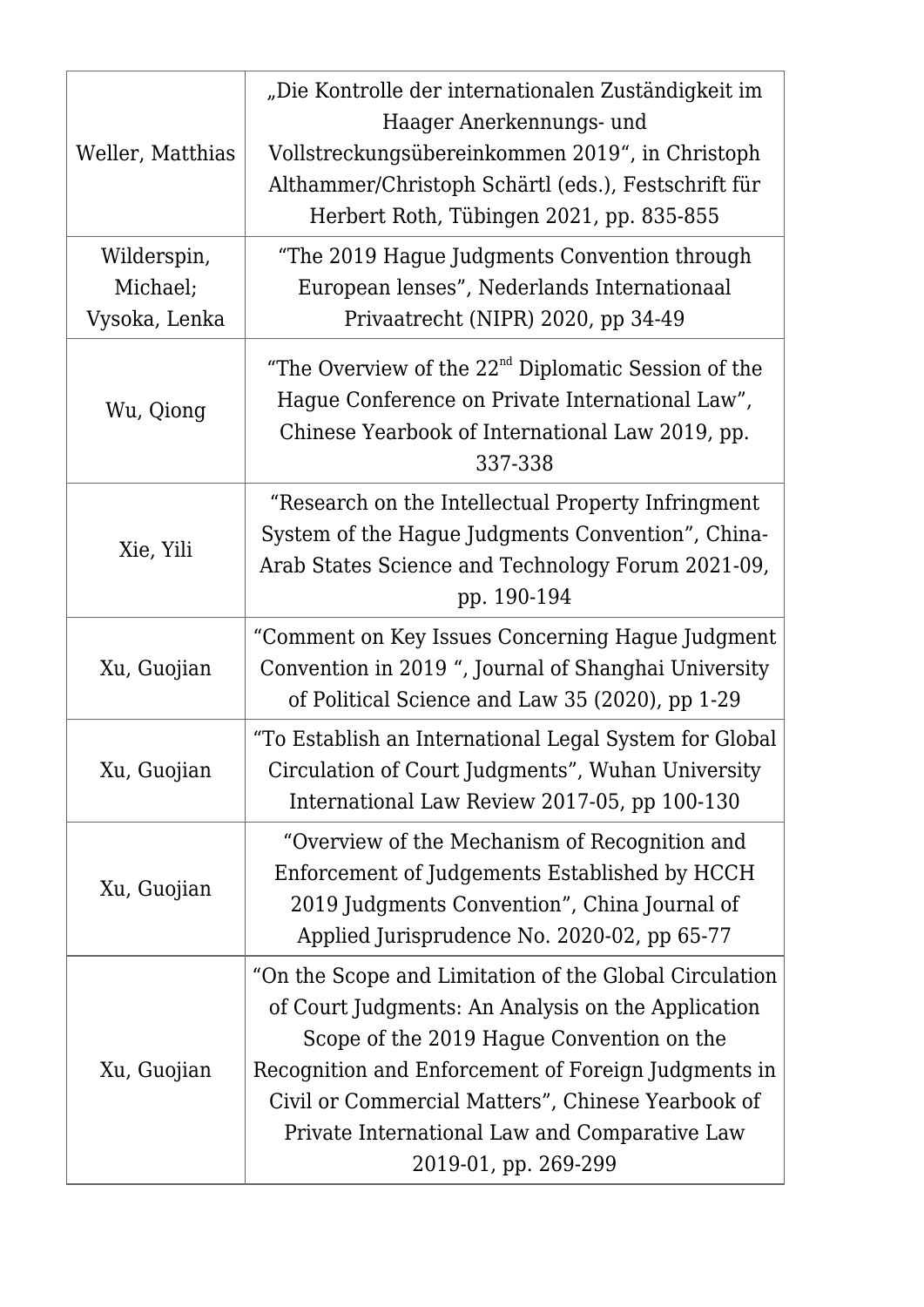| Weller, Matthias                         | "Die Kontrolle der internationalen Zuständigkeit im<br>Haager Anerkennungs- und<br>Vollstreckungsübereinkommen 2019", in Christoph<br>Althammer/Christoph Schärtl (eds.), Festschrift für<br>Herbert Roth, Tübingen 2021, pp. 835-855                                                                                                          |
|------------------------------------------|------------------------------------------------------------------------------------------------------------------------------------------------------------------------------------------------------------------------------------------------------------------------------------------------------------------------------------------------|
| Wilderspin,<br>Michael;<br>Vysoka, Lenka | "The 2019 Hague Judgments Convention through<br>European lenses", Nederlands Internationaal<br>Privaatrecht (NIPR) 2020, pp 34-49                                                                                                                                                                                                              |
| Wu, Qiong                                | "The Overview of the $22nd$ Diplomatic Session of the<br>Hague Conference on Private International Law",<br>Chinese Yearbook of International Law 2019, pp.<br>337-338                                                                                                                                                                         |
| Xie, Yili                                | "Research on the Intellectual Property Infringment<br>System of the Hague Judgments Convention", China-<br>Arab States Science and Technology Forum 2021-09,<br>pp. 190-194                                                                                                                                                                    |
| Xu, Guojian                              | "Comment on Key Issues Concerning Hague Judgment<br>Convention in 2019 ", Journal of Shanghai University<br>of Political Science and Law 35 (2020), pp 1-29                                                                                                                                                                                    |
| Xu, Guojian                              | "To Establish an International Legal System for Global<br>Circulation of Court Judgments", Wuhan University<br>International Law Review 2017-05, pp 100-130                                                                                                                                                                                    |
| Xu, Guojian                              | "Overview of the Mechanism of Recognition and<br>Enforcement of Judgements Established by HCCH<br>2019 Judgments Convention", China Journal of<br>Applied Jurisprudence No. 2020-02, pp 65-77                                                                                                                                                  |
| Xu, Guojian                              | "On the Scope and Limitation of the Global Circulation<br>of Court Judgments: An Analysis on the Application<br>Scope of the 2019 Hague Convention on the<br>Recognition and Enforcement of Foreign Judgments in<br>Civil or Commercial Matters", Chinese Yearbook of<br>Private International Law and Comparative Law<br>2019-01, pp. 269-299 |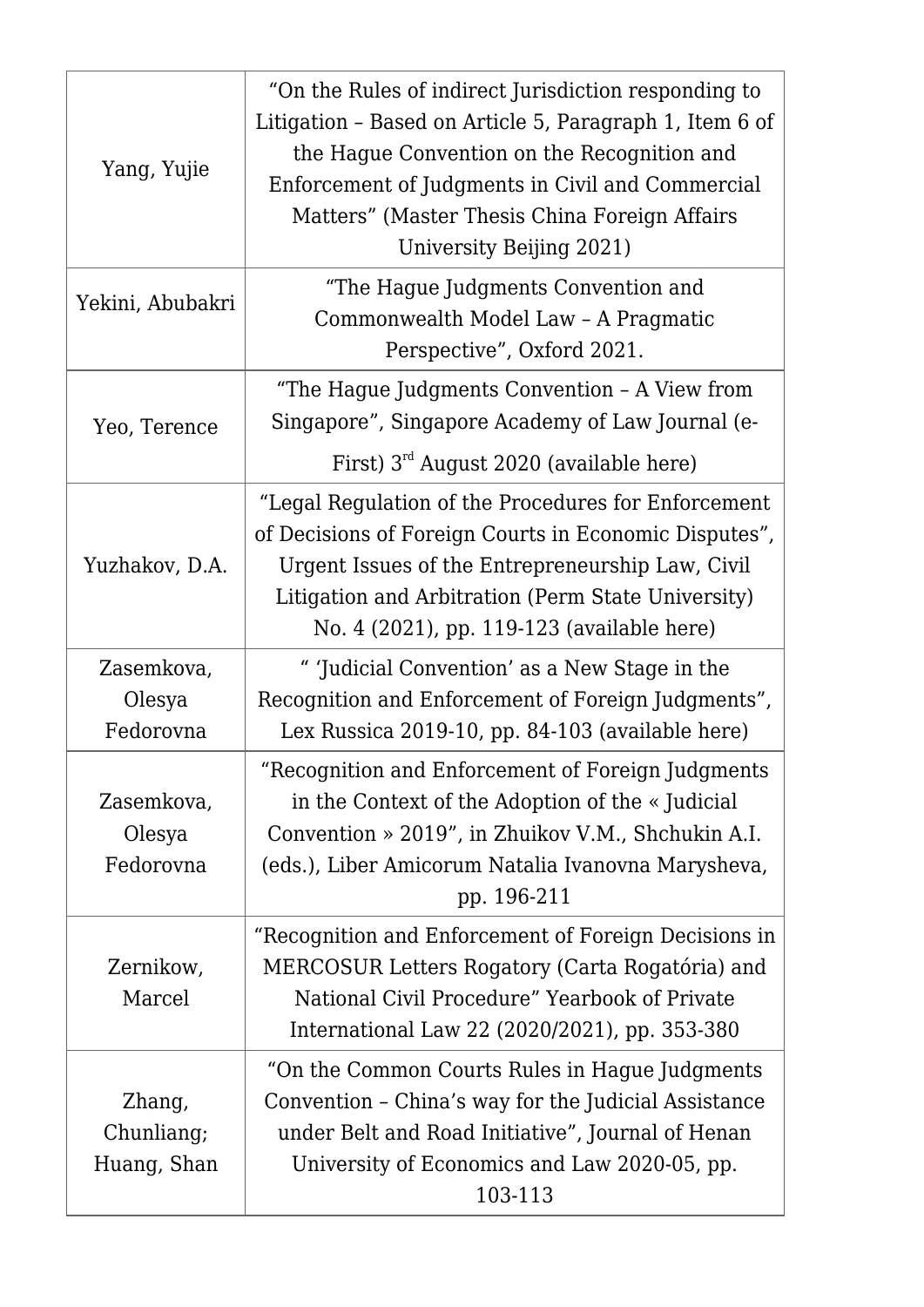| Yang, Yujie                         | "On the Rules of indirect Jurisdiction responding to<br>Litigation - Based on Article 5, Paragraph 1, Item 6 of<br>the Hague Convention on the Recognition and<br>Enforcement of Judgments in Civil and Commercial<br>Matters" (Master Thesis China Foreign Affairs<br>University Beijing 2021) |
|-------------------------------------|-------------------------------------------------------------------------------------------------------------------------------------------------------------------------------------------------------------------------------------------------------------------------------------------------|
| Yekini, Abubakri                    | "The Hague Judgments Convention and<br>Commonwealth Model Law - A Pragmatic<br>Perspective", Oxford 2021.                                                                                                                                                                                       |
| Yeo, Terence                        | "The Hague Judgments Convention - A View from<br>Singapore", Singapore Academy of Law Journal (e-<br>First) $3^{rd}$ August 2020 (available here)                                                                                                                                               |
| Yuzhakov, D.A.                      | "Legal Regulation of the Procedures for Enforcement<br>of Decisions of Foreign Courts in Economic Disputes",<br>Urgent Issues of the Entrepreneurship Law, Civil<br>Litigation and Arbitration (Perm State University)<br>No. 4 (2021), pp. 119-123 (available here)                            |
| Zasemkova,<br>Olesya<br>Fedorovna   | " 'Judicial Convention' as a New Stage in the<br>Recognition and Enforcement of Foreign Judgments",<br>Lex Russica 2019-10, pp. 84-103 (available here)                                                                                                                                         |
| Zasemkova,<br>Olesya<br>Fedorovna   | "Recognition and Enforcement of Foreign Judgments<br>in the Context of the Adoption of the « Judicial<br>Convention » 2019", in Zhuikov V.M., Shchukin A.I.<br>(eds.), Liber Amicorum Natalia Ivanovna Marysheva,<br>pp. 196-211                                                                |
| Zernikow,<br>Marcel                 | "Recognition and Enforcement of Foreign Decisions in<br>MERCOSUR Letters Rogatory (Carta Rogatória) and<br>National Civil Procedure" Yearbook of Private<br>International Law 22 (2020/2021), pp. 353-380                                                                                       |
| Zhang,<br>Chunliang;<br>Huang, Shan | "On the Common Courts Rules in Hague Judgments<br>Convention - China's way for the Judicial Assistance<br>under Belt and Road Initiative", Journal of Henan<br>University of Economics and Law 2020-05, pp.<br>103-113                                                                          |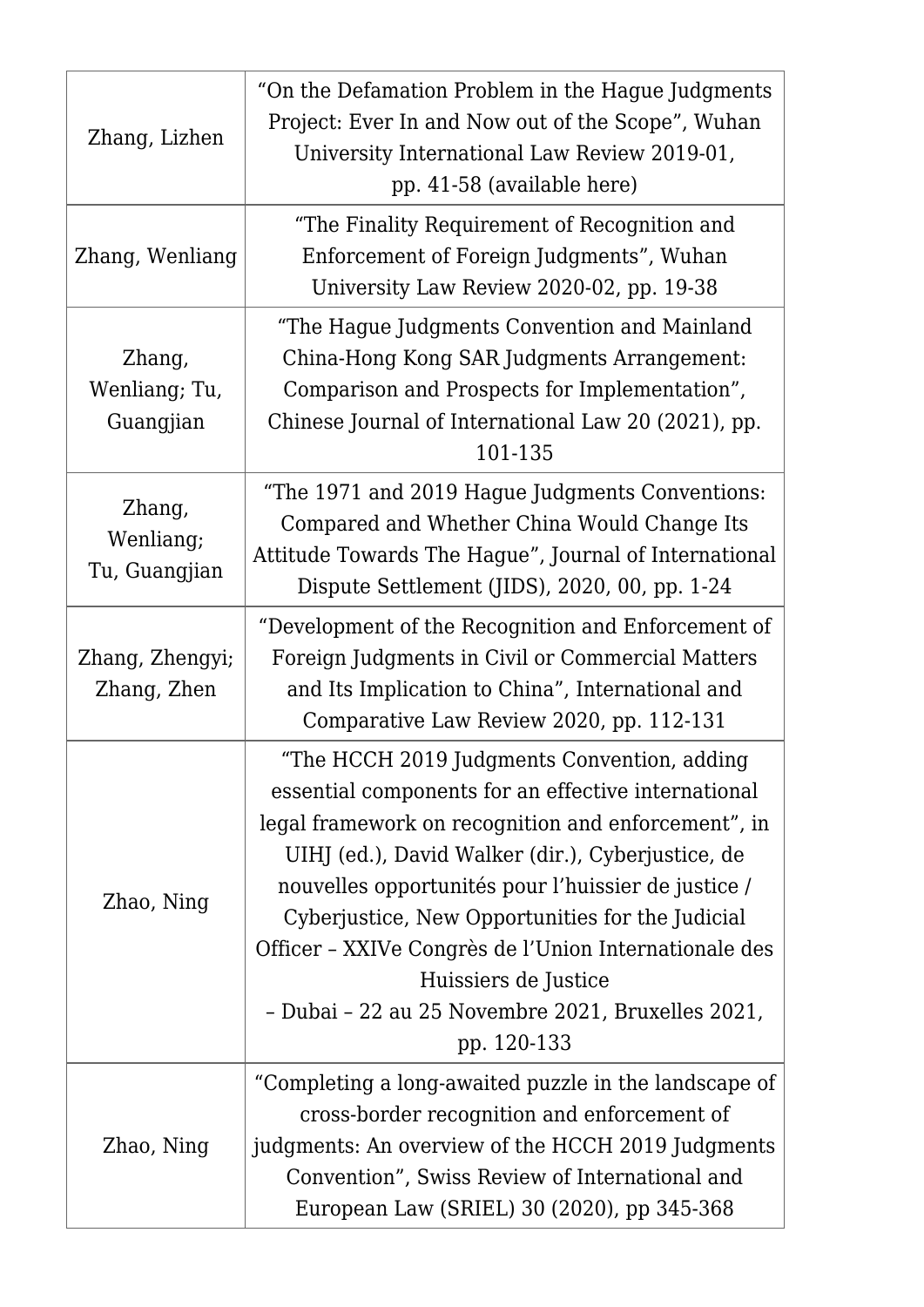| Zhang, Lizhen                        | "On the Defamation Problem in the Hague Judgments<br>Project: Ever In and Now out of the Scope", Wuhan<br>University International Law Review 2019-01,<br>pp. 41-58 (available here)                                                                                                                                                                                                                                                                                           |
|--------------------------------------|--------------------------------------------------------------------------------------------------------------------------------------------------------------------------------------------------------------------------------------------------------------------------------------------------------------------------------------------------------------------------------------------------------------------------------------------------------------------------------|
| Zhang, Wenliang                      | "The Finality Requirement of Recognition and<br>Enforcement of Foreign Judgments", Wuhan<br>University Law Review 2020-02, pp. 19-38                                                                                                                                                                                                                                                                                                                                           |
| Zhang,<br>Wenliang; Tu,<br>Guangjian | "The Hague Judgments Convention and Mainland<br>China-Hong Kong SAR Judgments Arrangement:<br>Comparison and Prospects for Implementation",<br>Chinese Journal of International Law 20 (2021), pp.<br>101-135                                                                                                                                                                                                                                                                  |
| Zhang,<br>Wenliang;<br>Tu, Guangjian | "The 1971 and 2019 Hague Judgments Conventions:<br>Compared and Whether China Would Change Its<br>Attitude Towards The Hague", Journal of International<br>Dispute Settlement (JIDS), 2020, 00, pp. 1-24                                                                                                                                                                                                                                                                       |
| Zhang, Zhengyi;<br>Zhang, Zhen       | "Development of the Recognition and Enforcement of<br>Foreign Judgments in Civil or Commercial Matters<br>and Its Implication to China", International and<br>Comparative Law Review 2020, pp. 112-131                                                                                                                                                                                                                                                                         |
| Zhao, Ning                           | "The HCCH 2019 Judgments Convention, adding<br>essential components for an effective international<br>legal framework on recognition and enforcement", in<br>UIHJ (ed.), David Walker (dir.), Cyberjustice, de<br>nouvelles opportunités pour l'huissier de justice /<br>Cyberjustice, New Opportunities for the Judicial<br>Officer - XXIVe Congrès de l'Union Internationale des<br>Huissiers de Justice<br>- Dubai - 22 au 25 Novembre 2021, Bruxelles 2021,<br>pp. 120-133 |
| Zhao, Ning                           | "Completing a long-awaited puzzle in the landscape of<br>cross-border recognition and enforcement of<br>judgments: An overview of the HCCH 2019 Judgments<br>Convention", Swiss Review of International and<br>European Law (SRIEL) 30 (2020), pp 345-368                                                                                                                                                                                                                      |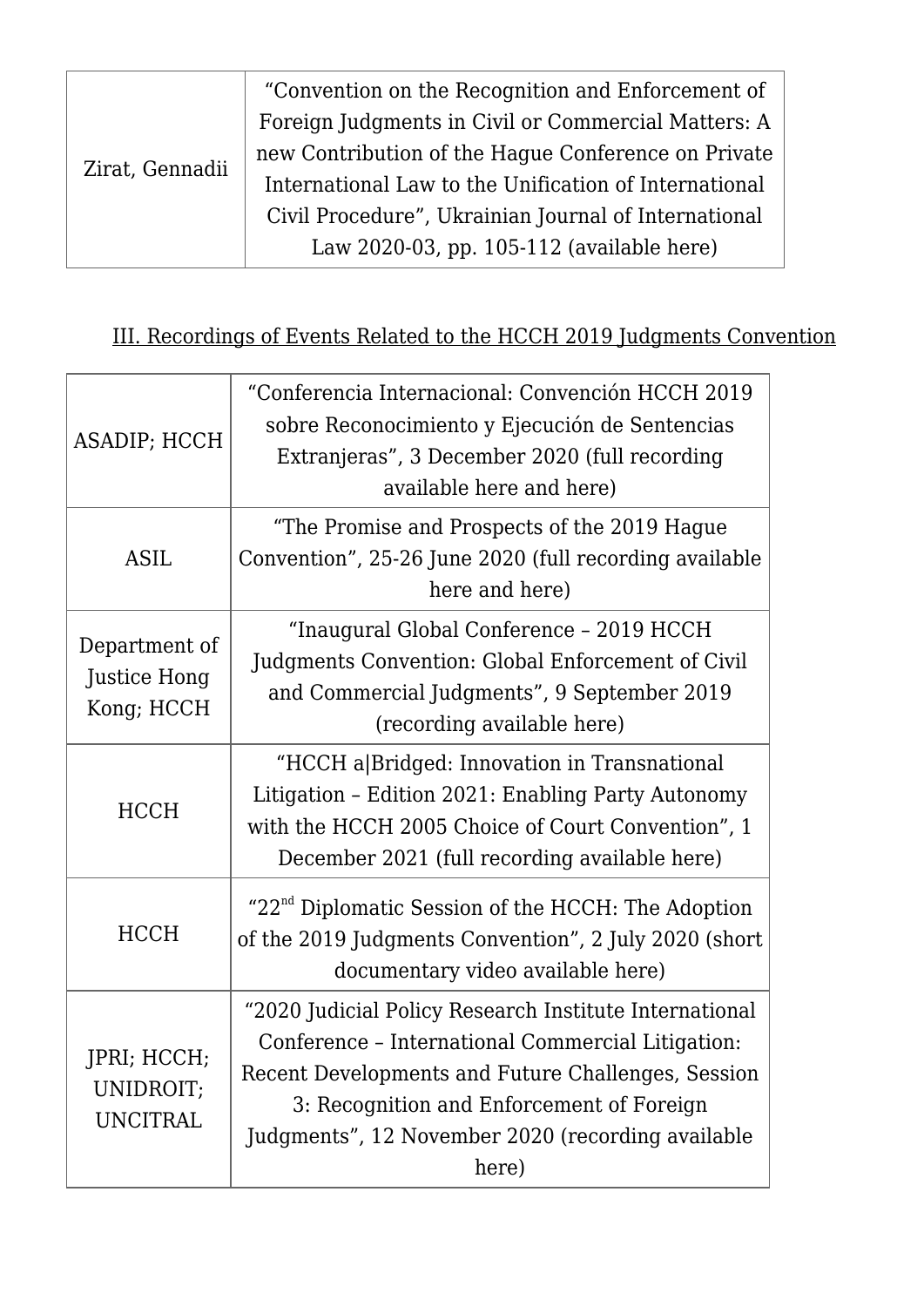| Zirat, Gennadii | "Convention on the Recognition and Enforcement of     |
|-----------------|-------------------------------------------------------|
|                 | Foreign Judgments in Civil or Commercial Matters: A   |
|                 | new Contribution of the Hague Conference on Private   |
|                 | International Law to the Unification of International |
|                 | Civil Procedure", Ukrainian Journal of International  |
|                 | Law 2020-03, pp. 105-112 (available here)             |

## III. Recordings of Events Related to the HCCH 2019 Judgments Convention

| ASADIP; HCCH                                | "Conferencia Internacional: Convención HCCH 2019<br>sobre Reconocimiento y Ejecución de Sentencias<br>Extranjeras", 3 December 2020 (full recording<br>available here and here)                                                                                              |
|---------------------------------------------|------------------------------------------------------------------------------------------------------------------------------------------------------------------------------------------------------------------------------------------------------------------------------|
| <b>ASIL</b>                                 | "The Promise and Prospects of the 2019 Hague<br>Convention", 25-26 June 2020 (full recording available<br>here and here)                                                                                                                                                     |
| Department of<br>Justice Hong<br>Kong; HCCH | "Inaugural Global Conference - 2019 HCCH<br>Judgments Convention: Global Enforcement of Civil<br>and Commercial Judgments", 9 September 2019<br>(recording available here)                                                                                                   |
| <b>HCCH</b>                                 | "HCCH a Bridged: Innovation in Transnational<br>Litigation - Edition 2021: Enabling Party Autonomy<br>with the HCCH 2005 Choice of Court Convention", 1<br>December 2021 (full recording available here)                                                                     |
| <b>HCCH</b>                                 | "22 <sup>nd</sup> Diplomatic Session of the HCCH: The Adoption<br>of the 2019 Judgments Convention", 2 July 2020 (short<br>documentary video available here)                                                                                                                 |
| JPRI; HCCH;<br>UNIDROIT;<br><b>UNCITRAL</b> | "2020 Judicial Policy Research Institute International<br>Conference - International Commercial Litigation:<br>Recent Developments and Future Challenges, Session<br>3: Recognition and Enforcement of Foreign<br>Judgments", 12 November 2020 (recording available<br>here) |